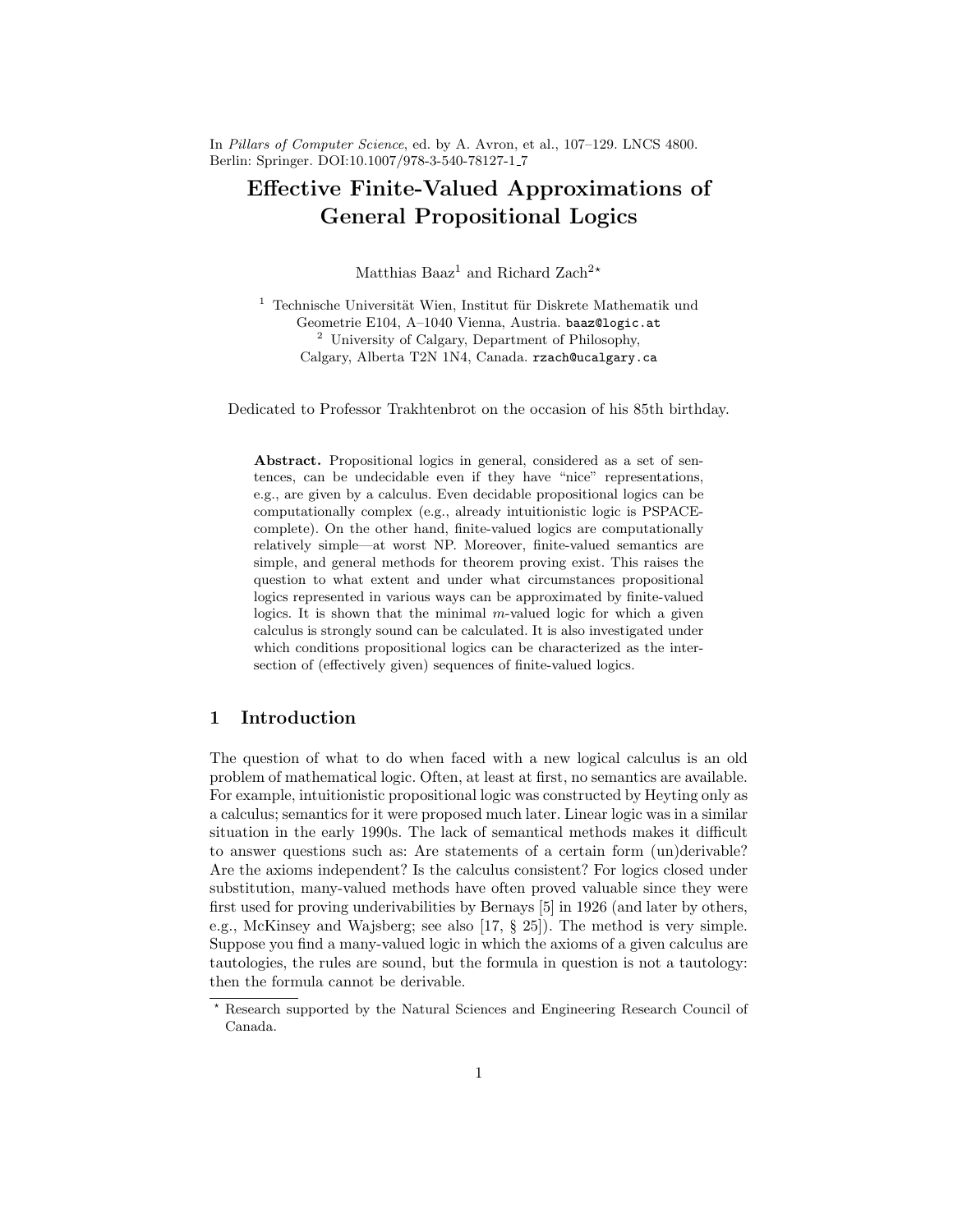In Pillars of Computer Science, ed. by A. Avron, et al., 107-129. LNCS 4800. Berlin: Springer. DOI:10.1007/978-3-540-78127-1 7

# Effective Finite-Valued Approximations of General Propositional Logics

Matthias Baaz<sup>1</sup> and Richard Zach<sup>2</sup><sup>\*</sup>

 $1$  Technische Universität Wien, Institut für Diskrete Mathematik und Geometrie E104, A–1040 Vienna, Austria. baaz@logic.at <sup>2</sup> University of Calgary, Department of Philosophy, Calgary, Alberta T2N 1N4, Canada. rzach@ucalgary.ca

Dedicated to Professor Trakhtenbrot on the occasion of his 85th birthday.

Abstract. Propositional logics in general, considered as a set of sentences, can be undecidable even if they have "nice" representations, e.g., are given by a calculus. Even decidable propositional logics can be computationally complex (e.g., already intuitionistic logic is PSPACEcomplete). On the other hand, finite-valued logics are computationally relatively simple—at worst NP. Moreover, finite-valued semantics are simple, and general methods for theorem proving exist. This raises the question to what extent and under what circumstances propositional logics represented in various ways can be approximated by finite-valued logics. It is shown that the minimal  $m$ -valued logic for which a given calculus is strongly sound can be calculated. It is also investigated under which conditions propositional logics can be characterized as the intersection of (effectively given) sequences of finite-valued logics.

# 1 Introduction

The question of what to do when faced with a new logical calculus is an old problem of mathematical logic. Often, at least at first, no semantics are available. For example, intuitionistic propositional logic was constructed by Heyting only as a calculus; semantics for it were proposed much later. Linear logic was in a similar situation in the early 1990s. The lack of semantical methods makes it difficult to answer questions such as: Are statements of a certain form (un)derivable? Are the axioms independent? Is the calculus consistent? For logics closed under substitution, many-valued methods have often proved valuable since they were first used for proving underivabilities by Bernays [5] in 1926 (and later by others, e.g., McKinsey and Wajsberg; see also [17, § 25]). The method is very simple. Suppose you find a many-valued logic in which the axioms of a given calculus are tautologies, the rules are sound, but the formula in question is not a tautology: then the formula cannot be derivable.

<sup>⋆</sup> Research supported by the Natural Sciences and Engineering Research Council of Canada.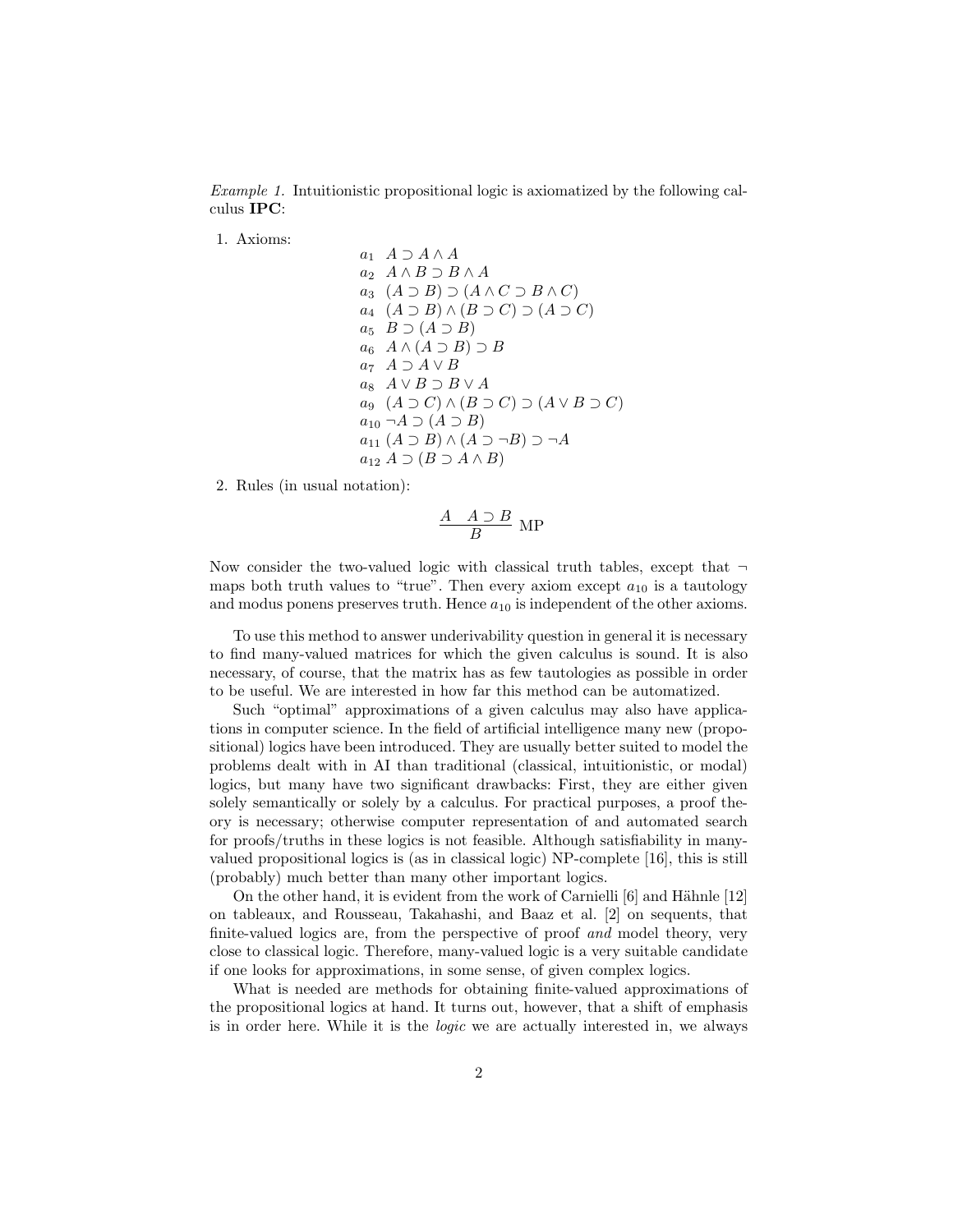Example 1. Intuitionistic propositional logic is axiomatized by the following calculus IPC:

1. Axioms:

$$
a_1 \quad A \supset A \land A
$$
  
\n
$$
a_2 \quad A \land B \supset B \land A
$$
  
\n
$$
a_3 \quad (A \supset B) \supset (A \land C \supset B \land C)
$$
  
\n
$$
a_4 \quad (A \supset B) \land (B \supset C) \supset (A \supset C)
$$
  
\n
$$
a_5 \quad B \supset (A \supset B)
$$
  
\n
$$
a_6 \quad A \land (A \supset B) \supset B
$$
  
\n
$$
a_7 \quad A \supset A \lor B
$$
  
\n
$$
a_8 \quad A \lor B \supset B \lor A
$$
  
\n
$$
a_9 \quad (A \supset C) \land (B \supset C) \supset (A \lor B \supset C)
$$
  
\n
$$
a_{10} \neg A \supset (A \supset B)
$$
  
\n
$$
a_{11} \quad (A \supset B) \land (A \supset \neg B) \supset \neg A
$$
  
\n
$$
a_{12} \quad A \supset (B \supset A \land B)
$$

2. Rules (in usual notation):

$$
\frac{A \quad A \supset B}{B} \text{ MP}
$$

Now consider the two-valued logic with classical truth tables, except that  $\neg$ maps both truth values to "true". Then every axiom except  $a_{10}$  is a tautology and modus ponens preserves truth. Hence  $a_{10}$  is independent of the other axioms.

To use this method to answer underivability question in general it is necessary to find many-valued matrices for which the given calculus is sound. It is also necessary, of course, that the matrix has as few tautologies as possible in order to be useful. We are interested in how far this method can be automatized.

Such "optimal" approximations of a given calculus may also have applications in computer science. In the field of artificial intelligence many new (propositional) logics have been introduced. They are usually better suited to model the problems dealt with in AI than traditional (classical, intuitionistic, or modal) logics, but many have two significant drawbacks: First, they are either given solely semantically or solely by a calculus. For practical purposes, a proof theory is necessary; otherwise computer representation of and automated search for proofs/truths in these logics is not feasible. Although satisfiability in manyvalued propositional logics is (as in classical logic) NP-complete [16], this is still (probably) much better than many other important logics.

On the other hand, it is evident from the work of Carnielli  $[6]$  and Hähnle  $[12]$ on tableaux, and Rousseau, Takahashi, and Baaz et al. [2] on sequents, that finite-valued logics are, from the perspective of proof and model theory, very close to classical logic. Therefore, many-valued logic is a very suitable candidate if one looks for approximations, in some sense, of given complex logics.

What is needed are methods for obtaining finite-valued approximations of the propositional logics at hand. It turns out, however, that a shift of emphasis is in order here. While it is the logic we are actually interested in, we always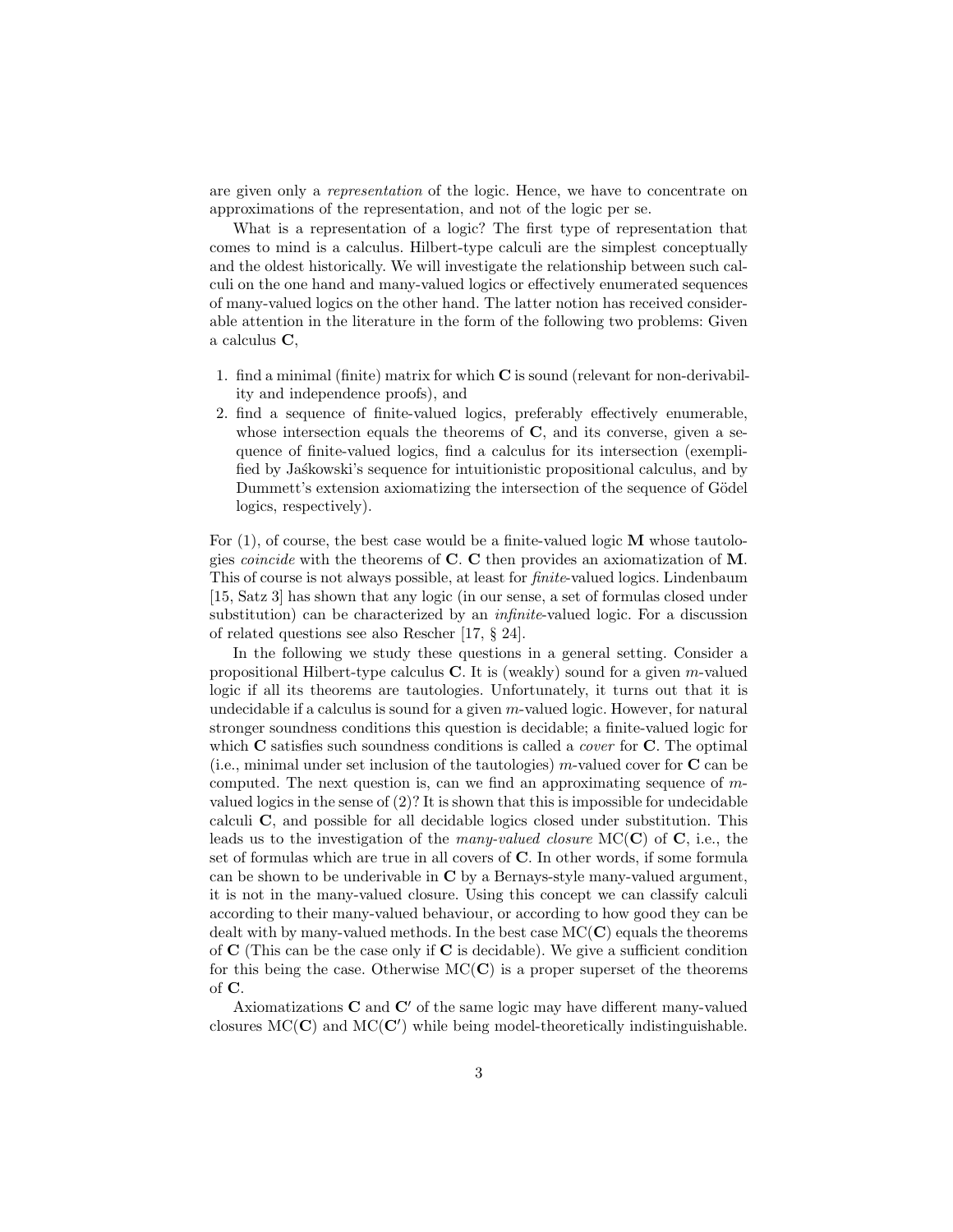are given only a representation of the logic. Hence, we have to concentrate on approximations of the representation, and not of the logic per se.

What is a representation of a logic? The first type of representation that comes to mind is a calculus. Hilbert-type calculi are the simplest conceptually and the oldest historically. We will investigate the relationship between such calculi on the one hand and many-valued logics or effectively enumerated sequences of many-valued logics on the other hand. The latter notion has received considerable attention in the literature in the form of the following two problems: Given a calculus C,

- 1. find a minimal (finite) matrix for which C is sound (relevant for non-derivability and independence proofs), and
- 2. find a sequence of finite-valued logics, preferably effectively enumerable, whose intersection equals the theorems of  $C$ , and its converse, given a sequence of finite-valued logics, find a calculus for its intersection (exemplified by Jaskowski's sequence for intuitionistic propositional calculus, and by Dummett's extension axiomatizing the intersection of the sequence of Gödel logics, respectively).

For  $(1)$ , of course, the best case would be a finite-valued logic  $M$  whose tautologies coincide with the theorems of C. C then provides an axiomatization of M. This of course is not always possible, at least for finite-valued logics. Lindenbaum [15, Satz 3] has shown that any logic (in our sense, a set of formulas closed under substitution) can be characterized by an infinite-valued logic. For a discussion of related questions see also Rescher [17, § 24].

In the following we study these questions in a general setting. Consider a propositional Hilbert-type calculus  $C$ . It is (weakly) sound for a given m-valued logic if all its theorems are tautologies. Unfortunately, it turns out that it is undecidable if a calculus is sound for a given m-valued logic. However, for natural stronger soundness conditions this question is decidable; a finite-valued logic for which  $\bf{C}$  satisfies such soundness conditions is called a *cover* for  $\bf{C}$ . The optimal (i.e., minimal under set inclusion of the tautologies) m-valued cover for  $C$  can be computed. The next question is, can we find an approximating sequence of mvalued logics in the sense of (2)? It is shown that this is impossible for undecidable calculi C, and possible for all decidable logics closed under substitution. This leads us to the investigation of the many-valued closure  $MC(C)$  of C, i.e., the set of formulas which are true in all covers of C. In other words, if some formula can be shown to be underivable in C by a Bernays-style many-valued argument, it is not in the many-valued closure. Using this concept we can classify calculi according to their many-valued behaviour, or according to how good they can be dealt with by many-valued methods. In the best case  $MC(C)$  equals the theorems of  $C$  (This can be the case only if  $C$  is decidable). We give a sufficient condition for this being the case. Otherwise  $MC(C)$  is a proper superset of the theorems of C.

Axiomatizations  $C$  and  $C'$  of the same logic may have different many-valued closures  $MC(C)$  and  $MC(C')$  while being model-theoretically indistinguishable.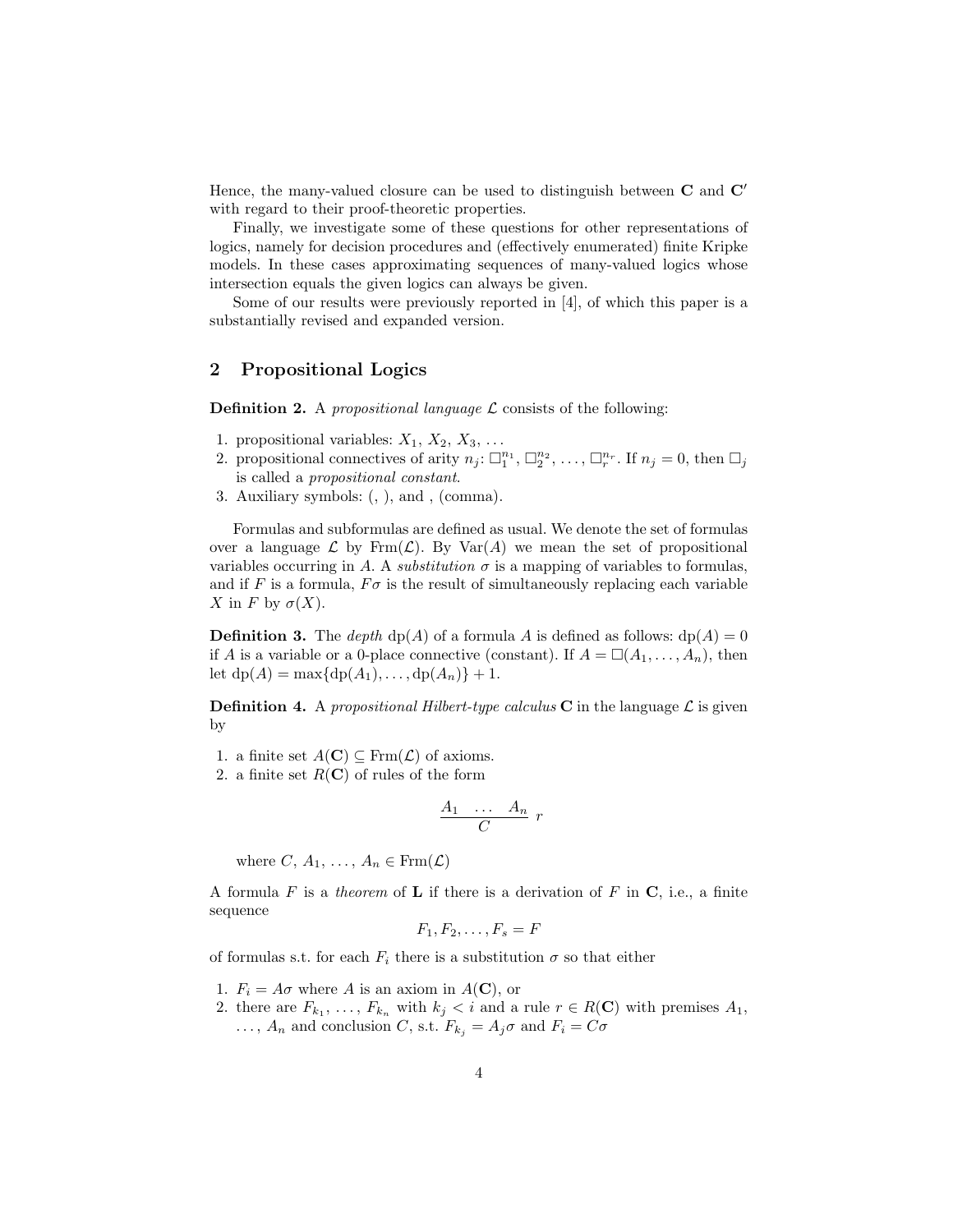Hence, the many-valued closure can be used to distinguish between C and C′ with regard to their proof-theoretic properties.

Finally, we investigate some of these questions for other representations of logics, namely for decision procedures and (effectively enumerated) finite Kripke models. In these cases approximating sequences of many-valued logics whose intersection equals the given logics can always be given.

Some of our results were previously reported in [4], of which this paper is a substantially revised and expanded version.

## 2 Propositional Logics

**Definition 2.** A propositional language  $\mathcal{L}$  consists of the following:

- 1. propositional variables:  $X_1, X_2, X_3, \ldots$
- 2. propositional connectives of arity  $n_j: \Box_1^{n_1}, \Box_2^{n_2}, \ldots, \Box_r^{n_r}$ . If  $n_j = 0$ , then  $\Box_j$ is called a propositional constant.
- 3. Auxiliary symbols: (, ), and , (comma).

Formulas and subformulas are defined as usual. We denote the set of formulas over a language  $\mathcal L$  by Frm( $\mathcal L$ ). By Var(A) we mean the set of propositional variables occurring in A. A *substitution*  $\sigma$  is a mapping of variables to formulas, and if F is a formula,  $F\sigma$  is the result of simultaneously replacing each variable X in F by  $\sigma(X)$ .

**Definition 3.** The *depth* dp(A) of a formula A is defined as follows:  $dp(A) = 0$ if A is a variable or a 0-place connective (constant). If  $A = \Box(A_1, \ldots, A_n)$ , then let  $dp(A) = max{dp(A_1), ..., dp(A_n)} + 1$ .

**Definition 4.** A propositional Hilbert-type calculus **C** in the language  $\mathcal{L}$  is given by

- 1. a finite set  $A(\mathbf{C}) \subseteq \text{Frm}(\mathcal{L})$  of axioms.
- 2. a finite set  $R(C)$  of rules of the form

$$
\frac{A_1 \cdots A_n}{C} r
$$

where  $C, A_1, \ldots, A_n \in \text{Frm}(\mathcal{L})$ 

A formula F is a theorem of **L** if there is a derivation of F in  $\mathbf{C}$ , i.e., a finite sequence

$$
F_1, F_2, \ldots, F_s = F
$$

of formulas s.t. for each  $F_i$  there is a substitution  $\sigma$  so that either

- 1.  $F_i = A\sigma$  where A is an axiom in  $A(\mathbf{C})$ , or
- 2. there are  $F_{k_1}, \ldots, F_{k_n}$  with  $k_j < i$  and a rule  $r \in R(\mathbf{C})$  with premises  $A_1$ ,  $\ldots$ ,  $A_n$  and conclusion C, s.t.  $F_{k_i} = A_j \sigma$  and  $F_i = C \sigma$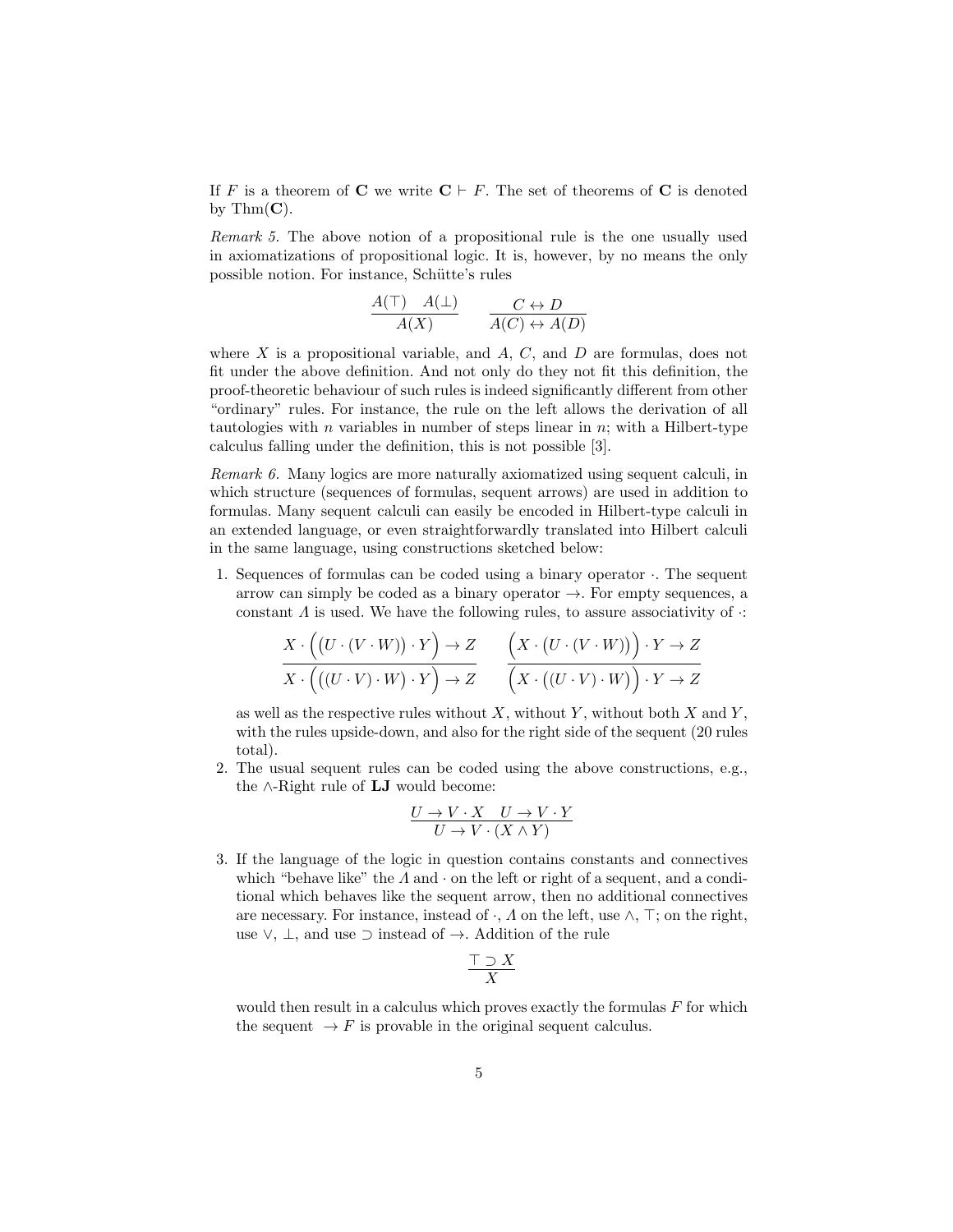If F is a theorem of C we write  $C \vdash F$ . The set of theorems of C is denoted by  $Thm(\mathbf{C})$ .

Remark 5. The above notion of a propositional rule is the one usually used in axiomatizations of propositional logic. It is, however, by no means the only possible notion. For instance, Schütte's rules

$$
\frac{A(\top) \quad A(\bot)}{A(X)} \qquad \frac{C \leftrightarrow D}{A(C) \leftrightarrow A(D)}
$$

where  $X$  is a propositional variable, and  $A, C$ , and  $D$  are formulas, does not fit under the above definition. And not only do they not fit this definition, the proof-theoretic behaviour of such rules is indeed significantly different from other "ordinary" rules. For instance, the rule on the left allows the derivation of all tautologies with  $n$  variables in number of steps linear in  $n$ ; with a Hilbert-type calculus falling under the definition, this is not possible [3].

Remark 6. Many logics are more naturally axiomatized using sequent calculi, in which structure (sequences of formulas, sequent arrows) are used in addition to formulas. Many sequent calculi can easily be encoded in Hilbert-type calculi in an extended language, or even straightforwardly translated into Hilbert calculi in the same language, using constructions sketched below:

1. Sequences of formulas can be coded using a binary operator ·. The sequent arrow can simply be coded as a binary operator  $\rightarrow$ . For empty sequences, a constant  $\Lambda$  is used. We have the following rules, to assure associativity of  $\cdot$ :

$$
\frac{X \cdot \left( \left( U \cdot (V \cdot W) \right) \cdot Y \right) \to Z}{X \cdot \left( \left( \left( U \cdot V \right) \cdot W \right) \cdot Y \right) \to Z} \qquad \frac{\left( X \cdot \left( U \cdot (V \cdot W) \right) \right) \cdot Y \to Z}{\left( X \cdot \left( \left( U \cdot V \right) \cdot W \right) \right) \cdot Y \to Z}
$$

as well as the respective rules without  $X$ , without  $Y$ , without both  $X$  and  $Y$ , with the rules upside-down, and also for the right side of the sequent (20 rules total).

2. The usual sequent rules can be coded using the above constructions, e.g., the ∧-Right rule of LJ would become:

$$
\frac{U \to V \cdot X \quad U \to V \cdot Y}{U \to V \cdot (X \wedge Y)}
$$

3. If the language of the logic in question contains constants and connectives which "behave like" the  $\Lambda$  and  $\cdot$  on the left or right of a sequent, and a conditional which behaves like the sequent arrow, then no additional connectives are necessary. For instance, instead of  $\cdot$ ,  $\Lambda$  on the left, use  $\wedge$ ,  $\top$ ; on the right, use ∨, ⊥, and use ⊃ instead of →. Addition of the rule

$$
\frac{\top \supset X}{X}
$$

would then result in a calculus which proves exactly the formulas  $F$  for which the sequent  $\rightarrow F$  is provable in the original sequent calculus.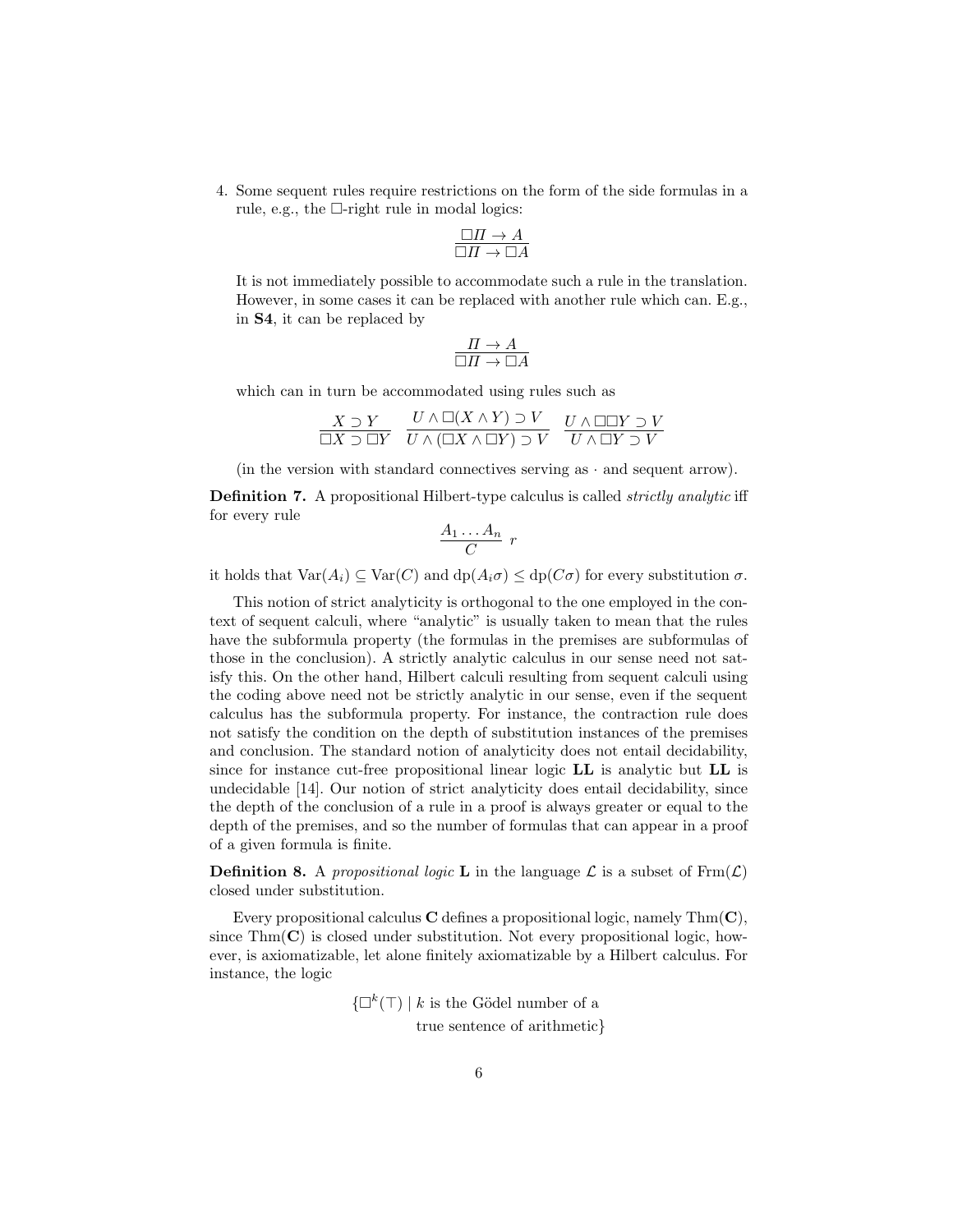4. Some sequent rules require restrictions on the form of the side formulas in a rule, e.g., the  $\square$ -right rule in modal logics:

$$
\frac{\Box \Pi \to A}{\Box \Pi \to \Box A}
$$

It is not immediately possible to accommodate such a rule in the translation. However, in some cases it can be replaced with another rule which can. E.g., in S4, it can be replaced by

$$
\frac{\Pi \to A}{\Box \Pi \to \Box A}
$$

which can in turn be accommodated using rules such as

$$
\frac{X \supset Y}{\Box X \supset \Box Y} \frac{U \land \Box(X \land Y) \supset V}{U \land (\Box X \land \Box Y) \supset V} \frac{U \land \Box \Box Y \supset V}{U \land \Box Y \supset V}
$$

(in the version with standard connectives serving as  $\cdot$  and sequent arrow).

Definition 7. A propositional Hilbert-type calculus is called *strictly analytic* iff for every rule

$$
\frac{A_1 \dots A_n}{C} r
$$

it holds that  $\text{Var}(A_i) \subseteq \text{Var}(C)$  and  $\text{dp}(A_i \sigma) \leq \text{dp}(C \sigma)$  for every substitution  $\sigma$ .

This notion of strict analyticity is orthogonal to the one employed in the context of sequent calculi, where "analytic" is usually taken to mean that the rules have the subformula property (the formulas in the premises are subformulas of those in the conclusion). A strictly analytic calculus in our sense need not satisfy this. On the other hand, Hilbert calculi resulting from sequent calculi using the coding above need not be strictly analytic in our sense, even if the sequent calculus has the subformula property. For instance, the contraction rule does not satisfy the condition on the depth of substitution instances of the premises and conclusion. The standard notion of analyticity does not entail decidability, since for instance cut-free propositional linear logic LL is analytic but LL is undecidable [14]. Our notion of strict analyticity does entail decidability, since the depth of the conclusion of a rule in a proof is always greater or equal to the depth of the premises, and so the number of formulas that can appear in a proof of a given formula is finite.

**Definition 8.** A propositional logic **L** in the language  $\mathcal{L}$  is a subset of Frm $(\mathcal{L})$ closed under substitution.

Every propositional calculus **C** defines a propositional logic, namely  $Thm(\mathbf{C})$ , since  $\text{Thm}(\mathbf{C})$  is closed under substitution. Not every propositional logic, however, is axiomatizable, let alone finitely axiomatizable by a Hilbert calculus. For instance, the logic

> $\{\Box^k(\top) \mid k \text{ is the Gödel number of a}\}$ true sentence of arithmetic}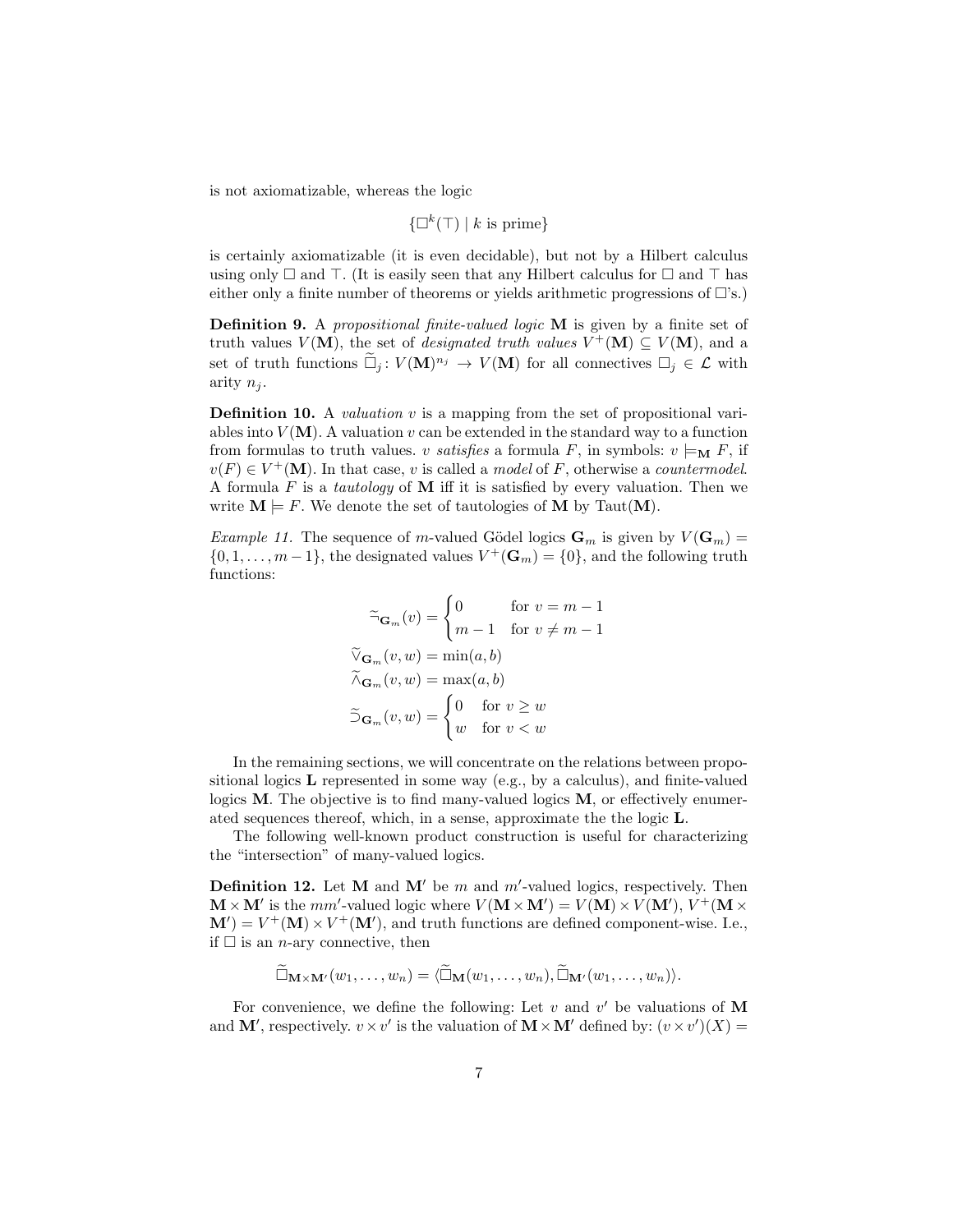is not axiomatizable, whereas the logic

$$
\{\Box^k(\top) \mid k \text{ is prime}\}
$$

is certainly axiomatizable (it is even decidable), but not by a Hilbert calculus using only  $\Box$  and  $\top$ . (It is easily seen that any Hilbert calculus for  $\Box$  and  $\top$  has either only a finite number of theorems or yields arithmetic progressions of  $\square$ 's.)

Definition 9. A propositional finite-valued logic M is given by a finite set of truth values  $V(M)$ , the set of *designated truth values*  $V^+(M) \subseteq V(M)$ , and a set of truth functions  $\widetilde{\Box}_j : V(\mathbf{M})^{n_j} \to V(\mathbf{M})$  for all connectives  $\Box_j \in \mathcal{L}$  with arity  $n_i$ .

**Definition 10.** A *valuation* v is a mapping from the set of propositional variables into  $V(M)$ . A valuation v can be extended in the standard way to a function from formulas to truth values. v satisfies a formula F, in symbols:  $v \models_M F$ , if  $v(F) \in V^+(\mathbf{M})$ . In that case, v is called a model of F, otherwise a countermodel. A formula  $F$  is a *tautology* of **M** iff it is satisfied by every valuation. Then we write  $\mathbf{M} \models F$ . We denote the set of tautologies of M by Taut(M).

Example 11. The sequence of m-valued Gödel logics  $\mathbf{G}_m$  is given by  $V(\mathbf{G}_m)$  =  $\{0, 1, \ldots, m-1\}$ , the designated values  $V^+(\mathbf{G}_m) = \{0\}$ , and the following truth functions:

$$
\widetilde{\neg}_{\mathbf{G}_m}(v) = \begin{cases}\n0 & \text{for } v = m - 1 \\
m - 1 & \text{for } v \neq m - 1\n\end{cases}
$$
\n
$$
\widetilde{\lor}_{\mathbf{G}_m}(v, w) = \min(a, b)
$$
\n
$$
\widetilde{\land}_{\mathbf{G}_m}(v, w) = \max(a, b)
$$
\n
$$
\widetilde{\supset}_{\mathbf{G}_m}(v, w) = \begin{cases}\n0 & \text{for } v \geq w \\
w & \text{for } v < w\n\end{cases}
$$

In the remaining sections, we will concentrate on the relations between propositional logics L represented in some way (e.g., by a calculus), and finite-valued logics M. The objective is to find many-valued logics M, or effectively enumerated sequences thereof, which, in a sense, approximate the the logic L.

The following well-known product construction is useful for characterizing the "intersection" of many-valued logics.

**Definition 12.** Let M and M' be m and  $m'$ -valued logics, respectively. Then  $\mathbf{M} \times \mathbf{M}'$  is the mm'-valued logic where  $V(\mathbf{M} \times \mathbf{M}') = V(\mathbf{M}) \times V(\mathbf{M}'), V^+(\mathbf{M} \times \mathbf{M}')$  $\mathbf{M}' = V^+(\mathbf{M}) \times V^+(\mathbf{M}')$ , and truth functions are defined component-wise. I.e., if  $\square$  is an *n*-ary connective, then

$$
\widetilde{\Box}_{\mathbf{M}\times\mathbf{M}'}(w_1,\ldots,w_n)=\langle \widetilde{\Box}_{\mathbf{M}}(w_1,\ldots,w_n),\widetilde{\Box}_{\mathbf{M}'}(w_1,\ldots,w_n)\rangle.
$$

For convenience, we define the following: Let  $v$  and  $v'$  be valuations of M and M', respectively.  $v \times v'$  is the valuation of  $M \times M'$  defined by:  $(v \times v')(X) =$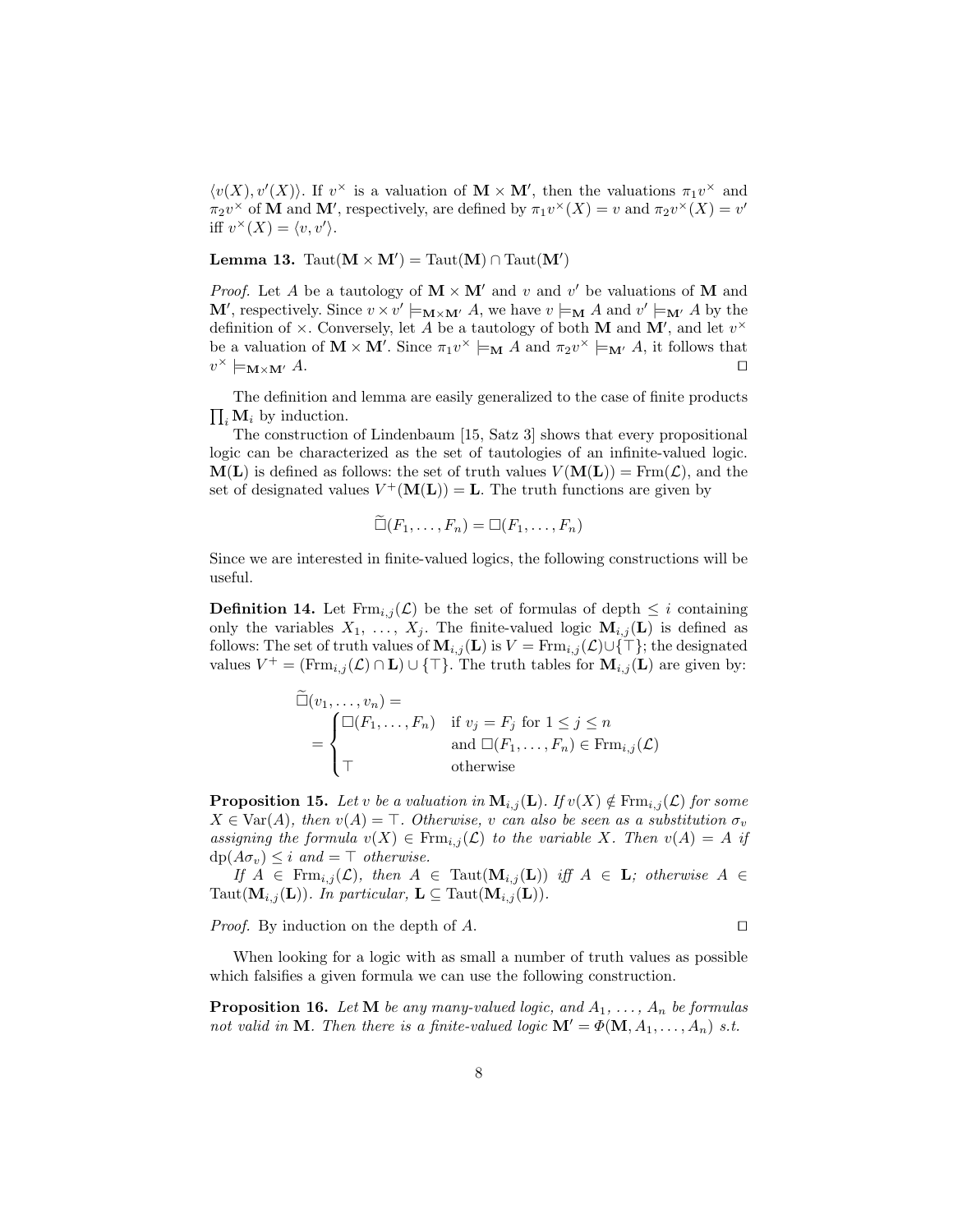$\langle v(X), v'(X) \rangle$ . If  $v^{\times}$  is a valuation of  $\mathbf{M} \times \mathbf{M}'$ , then the valuations  $\pi_1 v^{\times}$  and  $\pi_2 v^{\times}$  of **M** and **M'**, respectively, are defined by  $\pi_1 v^{\times}(X) = v$  and  $\pi_2 v^{\times}(X) = v'$ iff  $v^{\times}(X) = \langle v, v' \rangle$ .

Lemma 13. Taut $(M \times M') = \text{Taut}(M) \cap \text{Taut}(M')$ 

*Proof.* Let A be a tautology of  $M \times M'$  and v and v' be valuations of M and M', respectively. Since  $v \times v' \models_{\mathbf{M} \times \mathbf{M}'} A$ , we have  $v \models_{\mathbf{M}} A$  and  $v' \models_{\mathbf{M}'} A$  by the definition of  $\times$ . Conversely, let A be a tautology of both **M** and **M'**, and let  $v^{\times}$ be a valuation of  $\mathbf{M} \times \mathbf{M}'$ . Since  $\pi_1 v^\times \models_{\mathbf{M}} A$  and  $\pi_2 v^\times \models_{\mathbf{M}'} A$ , it follows that  $v^{\times} \models_{\mathbf{M} \times \mathbf{M}'} A.$ 

 $\prod_i \mathbf{M}_i$  by induction. The definition and lemma are easily generalized to the case of finite products

The construction of Lindenbaum [15, Satz 3] shows that every propositional logic can be characterized as the set of tautologies of an infinite-valued logic.  $M(L)$  is defined as follows: the set of truth values  $V(M(L)) = \text{Frm}(\mathcal{L})$ , and the set of designated values  $V^+ (\mathbf{M}(\mathbf{L})) = \mathbf{L}$ . The truth functions are given by

$$
\widetilde{\Box}(F_1,\ldots,F_n)=\Box(F_1,\ldots,F_n)
$$

Since we are interested in finite-valued logics, the following constructions will be useful.

**Definition 14.** Let  $\text{Frm}_{i,j}(\mathcal{L})$  be the set of formulas of depth  $\leq i$  containing only the variables  $X_1, \ldots, X_j$ . The finite-valued logic  $\mathbf{M}_{i,j}(\mathbf{L})$  is defined as follows: The set of truth values of  $\mathbf{M}_{i,j}(\mathbf{L})$  is  $V = \text{Frm}_{i,j}(\mathcal{L}) \cup \{\top\}$ ; the designated values  $V^+ = (\text{Frm}_{i,j}(\mathcal{L}) \cap L) \cup \{\top\}.$  The truth tables for  $\mathbf{M}_{i,j}(\mathbf{L})$  are given by:

$$
\widetilde{\Box}(v_1, \dots, v_n) = \begin{cases}\n\Box(F_1, \dots, F_n) & \text{if } v_j = F_j \text{ for } 1 \le j \le n \\
\Box(F_1, \dots, F_n) \in \text{Frm}_{i,j}(\mathcal{L}) \\
\top & \text{otherwise}\n\end{cases}
$$

**Proposition 15.** Let v be a valuation in  $\mathbf{M}_{i,j}(\mathbf{L})$ . If  $v(X) \notin \text{Frm}_{i,j}(\mathcal{L})$  for some  $X \in \text{Var}(A)$ , then  $v(A) = \top$ . Otherwise, v can also be seen as a substitution  $\sigma_v$ assigning the formula  $v(X) \in \text{Frm}_{i,j}(\mathcal{L})$  to the variable X. Then  $v(A) = A$  if  $dp(A\sigma_v) \leq i$  and  $=$   $\top$  otherwise.

If  $A \in \text{Frm}_{i,j}(\mathcal{L})$ , then  $A \in \text{Taut}(\mathbf{M}_{i,j}(\mathbf{L}))$  iff  $A \in \mathbf{L}$ ; otherwise  $A \in$ Taut $(\mathbf{M}_{i,j}(\mathbf{L}))$ . In particular,  $\mathbf{L} \subseteq \text{Taut}(\mathbf{M}_{i,j}(\mathbf{L}))$ .

*Proof.* By induction on the depth of A. □

When looking for a logic with as small a number of truth values as possible which falsifies a given formula we can use the following construction.

**Proposition 16.** Let **M** be any many-valued logic, and  $A_1, \ldots, A_n$  be formulas not valid in **M**. Then there is a finite-valued logic  $\mathbf{M}' = \Phi(\mathbf{M}, A_1, \ldots, A_n)$  s.t.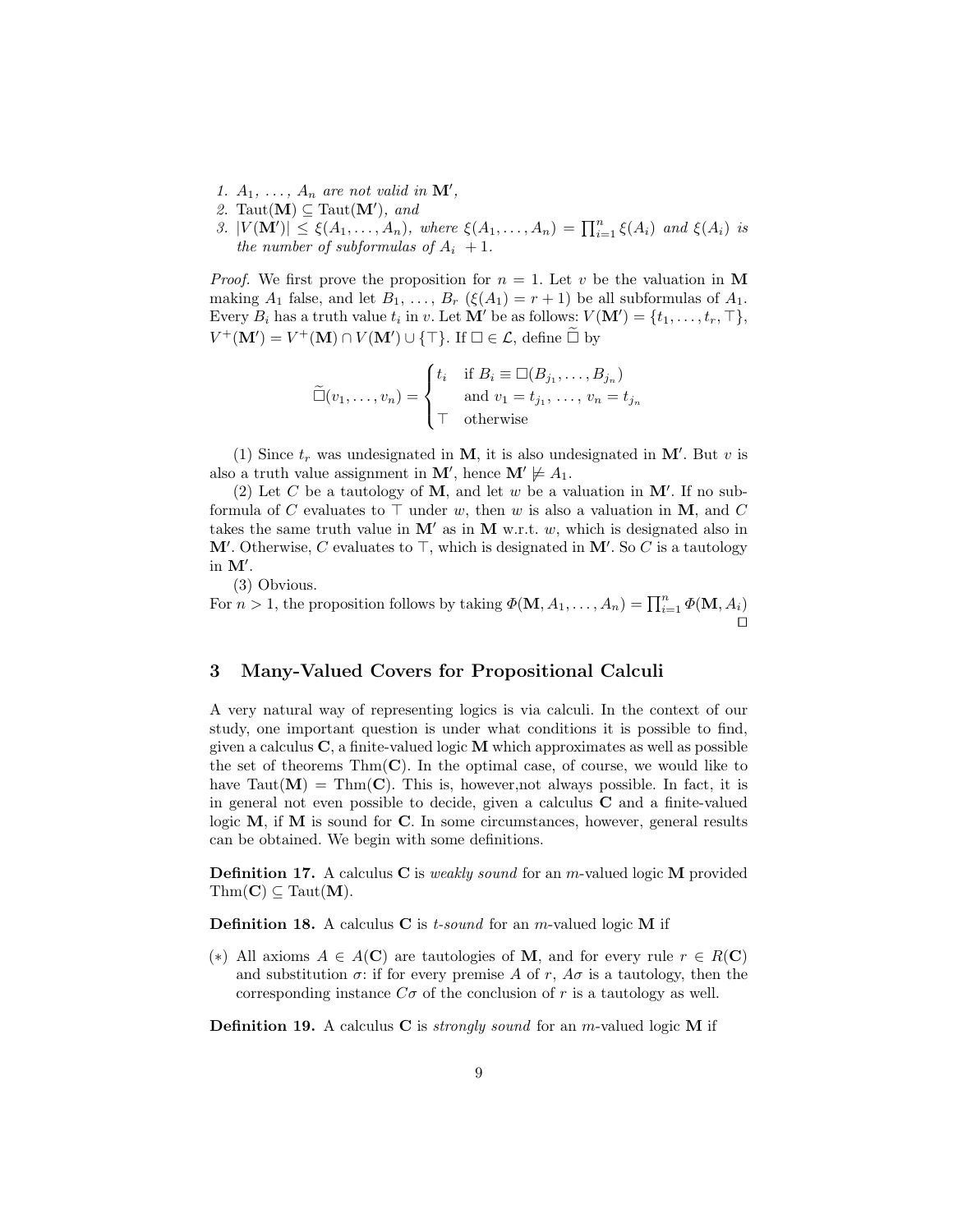- 1.  $A_1, \ldots, A_n$  are not valid in  $\mathbf{M}'$ ,
- 2. Taut $(\mathbf{M}) \subseteq$  Taut $(\mathbf{M}')$ , and
- 3.  $|V(\mathbf{M}')| \leq \xi(A_1,\ldots,A_n)$ , where  $\xi(A_1,\ldots,A_n) = \prod_{i=1}^n \xi(A_i)$  and  $\xi(A_i)$  is the number of subformulas of  $A_i + 1$ .

*Proof.* We first prove the proposition for  $n = 1$ . Let v be the valuation in M making  $A_1$  false, and let  $B_1, \ldots, B_r$   $(\xi(A_1) = r + 1)$  be all subformulas of  $A_1$ . Every  $B_i$  has a truth value  $t_i$  in v. Let  $\mathbf{M}'$  be as follows:  $V(\mathbf{M}') = \{t_1, \ldots, t_r, \top\},\$  $V^+(\mathbf{M}') = V^+(\mathbf{M}) \cap V(\mathbf{M}') \cup \{\top\}.$  If  $\square \in \mathcal{L}$ , define  $\widetilde{\square}$  by

$$
\widetilde{\Box}(v_1,\ldots,v_n) = \begin{cases} t_i & \text{if } B_i \equiv \Box(B_{j_1},\ldots,B_{j_n}) \\ \text{and } v_1 = t_{j_1},\ldots,v_n = t_{j_n} \\ \top & \text{otherwise} \end{cases}
$$

(1) Since  $t_r$  was undesignated in M, it is also undesignated in M'. But v is also a truth value assignment in  $\mathbf{M}'$ , hence  $\mathbf{M}' \not\models A_1$ .

(2) Let C be a tautology of M, and let  $w$  be a valuation in M'. If no subformula of C evaluates to  $\top$  under w, then w is also a valuation in M, and C takes the same truth value in  $M'$  as in  $M$  w.r.t. w, which is designated also in M'. Otherwise, C evaluates to  $\top$ , which is designated in M'. So C is a tautology in M′ .

(3) Obvious.

For  $n > 1$ , the proposition follows by taking  $\Phi(\mathbf{M}, A_1, \dots, A_n) = \prod_{i=1}^n \Phi(\mathbf{M}, A_i)$ ⊓⊔

# 3 Many-Valued Covers for Propositional Calculi

A very natural way of representing logics is via calculi. In the context of our study, one important question is under what conditions it is possible to find, given a calculus  $C$ , a finite-valued logic  $M$  which approximates as well as possible the set of theorems  $Thm(\mathbf{C})$ . In the optimal case, of course, we would like to have Taut( $\mathbf{M}$ ) = Thm( $\mathbf{C}$ ). This is, however, not always possible. In fact, it is in general not even possible to decide, given a calculus C and a finite-valued logic M, if M is sound for C. In some circumstances, however, general results can be obtained. We begin with some definitions.

**Definition 17.** A calculus  $\bf{C}$  is *weakly sound* for an *m*-valued logic  $\bf{M}$  provided  $\text{Thm}(\mathbf{C}) \subseteq \text{Taut}(\mathbf{M}).$ 

**Definition 18.** A calculus  $C$  is *t-sound* for an *m*-valued logic  $M$  if

(\*) All axioms  $A \in A(\mathbf{C})$  are tautologies of M, and for every rule  $r \in R(\mathbf{C})$ and substitution  $\sigma$ : if for every premise A of r,  $A\sigma$  is a tautology, then the corresponding instance  $C\sigma$  of the conclusion of r is a tautology as well.

**Definition 19.** A calculus C is *strongly sound* for an *m*-valued logic M if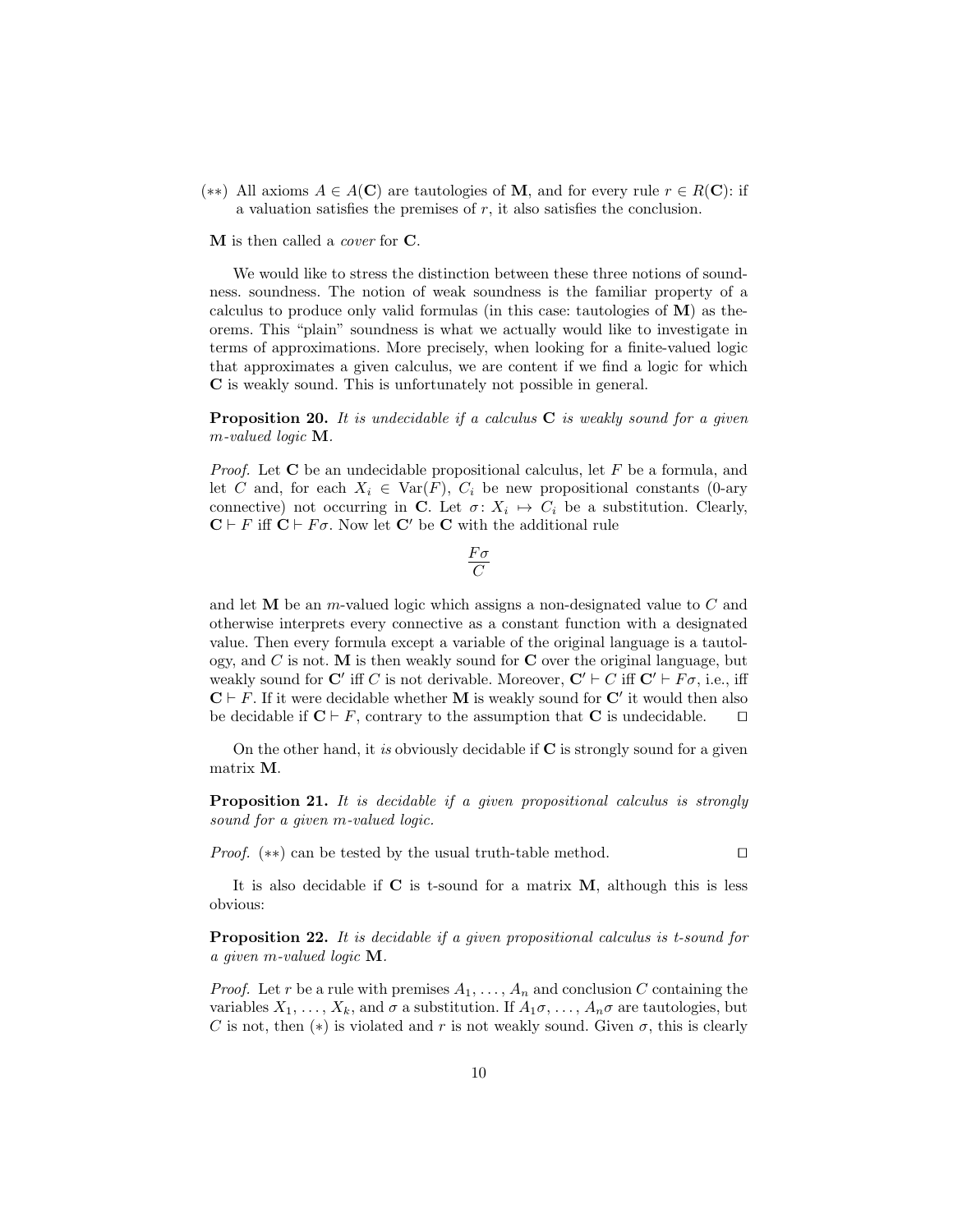(\*\*) All axioms  $A \in A(\mathbf{C})$  are tautologies of **M**, and for every rule  $r \in R(\mathbf{C})$ : if a valuation satisfies the premises of r, it also satisfies the conclusion.

M is then called a *cover* for **C**.

We would like to stress the distinction between these three notions of soundness. soundness. The notion of weak soundness is the familiar property of a calculus to produce only valid formulas (in this case: tautologies of **) as the**orems. This "plain" soundness is what we actually would like to investigate in terms of approximations. More precisely, when looking for a finite-valued logic that approximates a given calculus, we are content if we find a logic for which C is weakly sound. This is unfortunately not possible in general.

**Proposition 20.** It is undecidable if a calculus  $C$  is weakly sound for a given m-valued logic M.

*Proof.* Let  $C$  be an undecidable propositional calculus, let  $F$  be a formula, and let C and, for each  $X_i \in \text{Var}(F)$ ,  $C_i$  be new propositional constants (0-ary connective) not occurring in **C**. Let  $\sigma: X_i \mapsto C_i$  be a substitution. Clearly,  $\mathbf{C} \vdash F$  iff  $\mathbf{C} \vdash F\sigma$ . Now let  $\mathbf{C}'$  be  $\mathbf{C}$  with the additional rule

#### $F\sigma$  $\mathcal{C}_{0}^{(n)}$

and let  $M$  be an m-valued logic which assigns a non-designated value to  $C$  and otherwise interprets every connective as a constant function with a designated value. Then every formula except a variable of the original language is a tautology, and  $C$  is not. M is then weakly sound for  $C$  over the original language, but weakly sound for C' iff C is not derivable. Moreover,  $C' \vdash C$  iff  $C' \vdash F\sigma$ , i.e., iff  $\mathbf{C} \vdash F$ . If it were decidable whether **M** is weakly sound for  $\mathbf{C}'$  it would then also be decidable if  $\mathbf{C} \vdash F$ , contrary to the assumption that  $\mathbf{C}$  is undecidable.  $\Box$ 

On the other hand, it is obviously decidable if  $C$  is strongly sound for a given matrix M.

**Proposition 21.** It is decidable if a given propositional calculus is strongly sound for a given m-valued logic.

Proof. (∗∗) can be tested by the usual truth-table method. □

It is also decidable if  $C$  is t-sound for a matrix  $M$ , although this is less obvious:

**Proposition 22.** It is decidable if a given propositional calculus is t-sound for a given m-valued logic M.

*Proof.* Let r be a rule with premises  $A_1, \ldots, A_n$  and conclusion C containing the variables  $X_1, \ldots, X_k$ , and  $\sigma$  a substitution. If  $A_1\sigma, \ldots, A_n\sigma$  are tautologies, but C is not, then (\*) is violated and r is not weakly sound. Given  $\sigma$ , this is clearly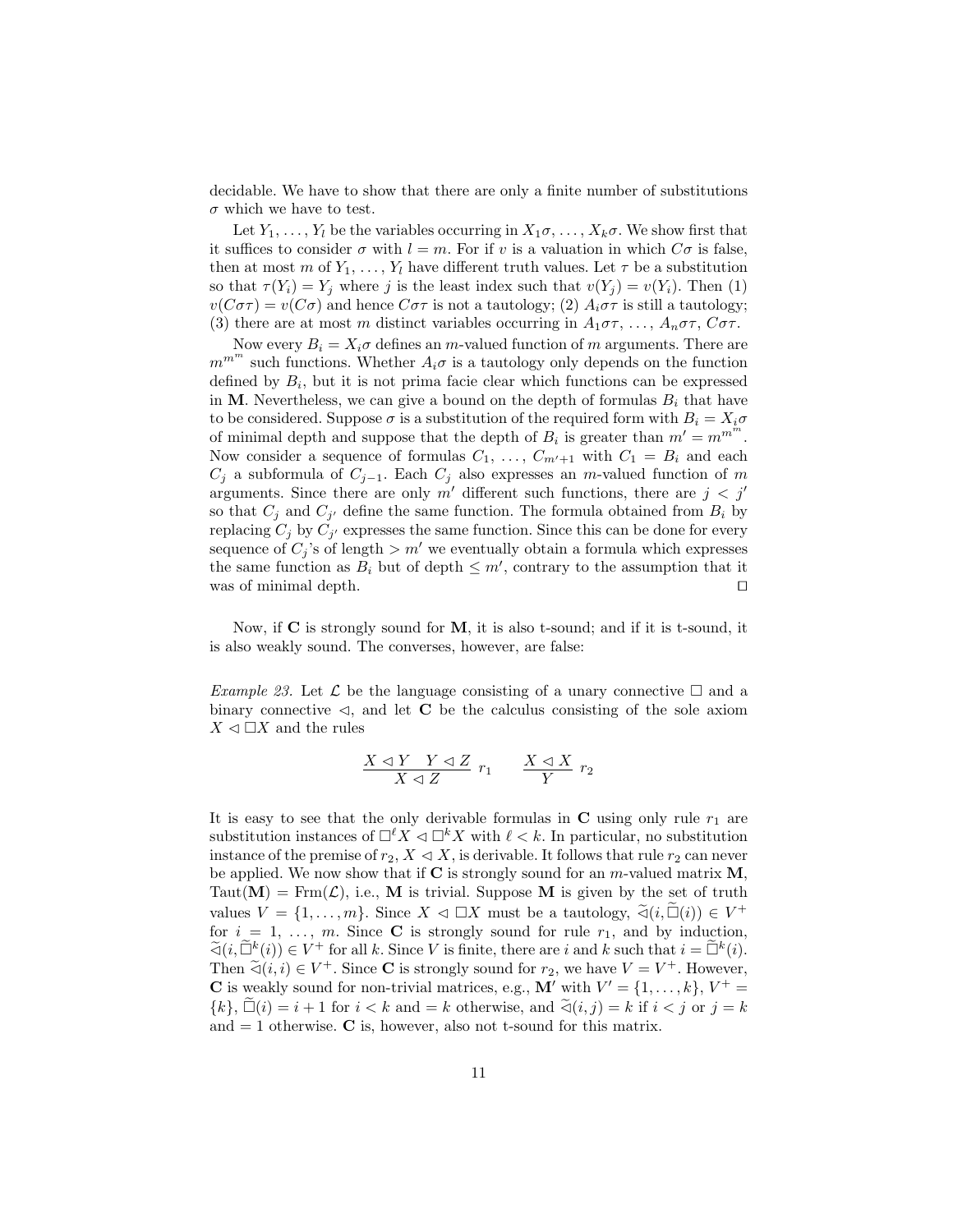decidable. We have to show that there are only a finite number of substitutions  $\sigma$  which we have to test.

Let  $Y_1, \ldots, Y_l$  be the variables occurring in  $X_1\sigma, \ldots, X_k\sigma$ . We show first that it suffices to consider  $\sigma$  with  $l = m$ . For if v is a valuation in which  $C\sigma$  is false, then at most m of  $Y_1, \ldots, Y_l$  have different truth values. Let  $\tau$  be a substitution so that  $\tau(Y_i) = Y_i$  where j is the least index such that  $v(Y_i) = v(Y_i)$ . Then (1)  $v(C\sigma\tau) = v(C\sigma)$  and hence  $C\sigma\tau$  is not a tautology; (2)  $A_i\sigma\tau$  is still a tautology; (3) there are at most m distinct variables occurring in  $A_1\sigma\tau, \ldots, A_n\sigma\tau, C\sigma\tau$ .

Now every  $B_i = X_i \sigma$  defines an m-valued function of m arguments. There are  $m^{m^m}$  such functions. Whether  $A_i \sigma$  is a tautology only depends on the function defined by  $B_i$ , but it is not prima facie clear which functions can be expressed in M. Nevertheless, we can give a bound on the depth of formulas  $B_i$  that have to be considered. Suppose  $\sigma$  is a substitution of the required form with  $B_i = X_i \sigma$ of minimal depth and suppose that the depth of  $B_i$  is greater than  $m' = m^{m^m}$ . Now consider a sequence of formulas  $C_1, \ldots, C_{m'+1}$  with  $C_1 = B_i$  and each  $C_j$  a subformula of  $C_{j-1}$ . Each  $C_j$  also expresses an m-valued function of m arguments. Since there are only  $m'$  different such functions, there are  $j < j'$ so that  $C_j$  and  $C_{j'}$  define the same function. The formula obtained from  $B_i$  by replacing  $C_j$  by  $C_{j'}$  expresses the same function. Since this can be done for every sequence of  $C_i$ 's of length  $> m'$  we eventually obtain a formula which expresses the same function as  $B_i$  but of depth  $\leq m'$ , contrary to the assumption that it was of minimal depth. □

Now, if  $C$  is strongly sound for  $M$ , it is also t-sound; and if it is t-sound, it is also weakly sound. The converses, however, are false:

Example 23. Let  $\mathcal L$  be the language consisting of a unary connective  $\Box$  and a binary connective  $\triangleleft$ , and let C be the calculus consisting of the sole axiom  $X \triangleleft \square X$  and the rules

$$
\frac{X \lhd Y \quad Y \lhd Z}{X \lhd Z} \; r_1 \qquad \frac{X \lhd X}{Y} \; r_2
$$

It is easy to see that the only derivable formulas in  $C$  using only rule  $r_1$  are substitution instances of  $\Box^{\ell} X \triangleleft \Box^{k} X$  with  $\ell \lt k$ . In particular, no substitution instance of the premise of  $r_2$ ,  $X \triangleleft X$ , is derivable. It follows that rule  $r_2$  can never be applied. We now show that if  $C$  is strongly sound for an *m*-valued matrix  $M$ , Taut(M) = Frm( $\mathcal{L}$ ), i.e., M is trivial. Suppose M is given by the set of truth values  $V = \{1, \ldots, m\}$ . Since  $X \triangleleft \Box X$  must be a tautology,  $\widetilde{\varphi}(i, \widetilde{\Box}(i)) \in V^+$ for  $i = 1, \ldots, m$ . Since C is strongly sound for rule  $r_1$ , and by induction,  $\widetilde{\mathcal{A}}(i,\widetilde{\Box}^k(i)) \in V^+$  for all k. Since V is finite, there are i and k such that  $i = \widetilde{\Box}^k(i)$ .<br>Then  $\widetilde{\mathcal{A}}(i,i) \in V^+$ . Since  $\mathbf{G}$  is strengthenous for general form  $V$ .  $V^+$ . However, Then  $\widetilde{\triangleleft}(i, i) \in V^+$ . Since **C** is strongly sound for  $r_2$ , we have  $V = V^+$ . However, **C** is weakly sound for non-trivial matrices, e.g., **M'** with  $V' = \{1, ..., k\}$ ,  $V^+ =$  $\{k\}, \Box(i) = i + 1$  for  $i < k$  and  $k = k$  otherwise, and  $\widetilde{\lhd}(i, j) = k$  if  $i < j$  or  $j = k$ and  $= 1$  otherwise.  $C$  is, however, also not t-sound for this matrix.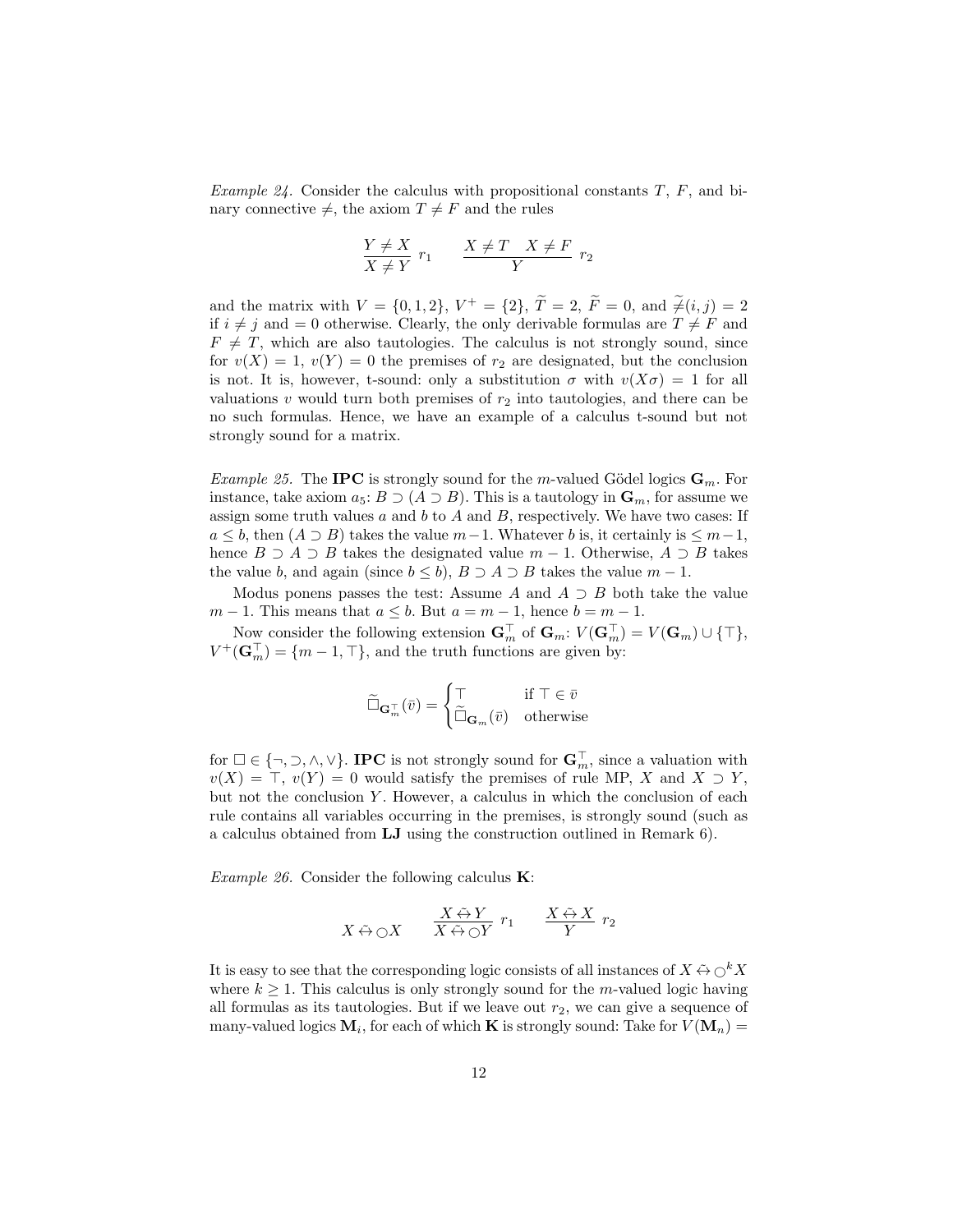*Example 24.* Consider the calculus with propositional constants  $T$ ,  $F$ , and binary connective  $\neq$ , the axiom  $T \neq F$  and the rules

$$
\frac{Y \neq X}{X \neq Y} r_1 \qquad \frac{X \neq T \quad X \neq F}{Y} r_2
$$

and the matrix with  $V = \{0, 1, 2\}, V^+ = \{2\}, \tilde{T} = 2, \tilde{F} = 0, \text{ and } \neq (i, j) = 2$ if  $i \neq j$  and = 0 otherwise. Clearly, the only derivable formulas are  $T \neq F$  and  $F \neq T$ , which are also tautologies. The calculus is not strongly sound, since for  $v(X) = 1$ ,  $v(Y) = 0$  the premises of  $r_2$  are designated, but the conclusion is not. It is, however, t-sound: only a substitution  $\sigma$  with  $v(X\sigma) = 1$  for all valuations  $v$  would turn both premises of  $r_2$  into tautologies, and there can be no such formulas. Hence, we have an example of a calculus t-sound but not strongly sound for a matrix.

Example 25. The **IPC** is strongly sound for the m-valued Gödel logics  $\mathbf{G}_m$ . For instance, take axiom  $a_5: B \supset (A \supset B)$ . This is a tautology in  $\mathbf{G}_m$ , for assume we assign some truth values a and b to  $A$  and  $B$ , respectively. We have two cases: If  $a \leq b$ , then  $(A \supset B)$  takes the value  $m-1$ . Whatever b is, it certainly is  $\leq m-1$ , hence  $B \supseteq A \supseteq B$  takes the designated value  $m-1$ . Otherwise,  $A \supseteq B$  takes the value b, and again (since  $b \leq b$ ),  $B \supset A \supset B$  takes the value  $m - 1$ .

Modus ponens passes the test: Assume A and  $A \supset B$  both take the value  $m-1$ . This means that  $a \leq b$ . But  $a = m-1$ , hence  $b = m-1$ .

Now consider the following extension  $\mathbf{G}_m^{\top}$  of  $\mathbf{G}_m: V(\mathbf{G}_m^{\top}) = V(\mathbf{G}_m) \cup \{\top\},\$  $V^+(\mathbf{G}_m^{\top}) = \{m-1, \top\}$ , and the truth functions are given by:

$$
\widetilde{\Box}_{\mathbf{G}_m^{\top}}(\bar{v}) = \begin{cases} \top & \text{if } \top \in \bar{v} \\ \widetilde{\Box}_{\mathbf{G}_m}(\bar{v}) & \text{otherwise} \end{cases}
$$

for  $\Box \in \{\neg, \Box, \land, \lor\}$ . **IPC** is not strongly sound for  $\mathbf{G}_m^{\top}$ , since a valuation with  $v(X) = \top$ ,  $v(Y) = 0$  would satisfy the premises of rule MP, X and  $X \supset Y$ , but not the conclusion  $Y$ . However, a calculus in which the conclusion of each rule contains all variables occurring in the premises, is strongly sound (such as a calculus obtained from LJ using the construction outlined in Remark 6).

*Example 26.* Consider the following calculus  $\mathbf{K}$ :

$$
X \stackrel{\sim}{\leftrightarrow} \bigcirc X \qquad \frac{X \stackrel{\sim}{\leftrightarrow} Y}{X \stackrel{\sim}{\leftrightarrow} \bigcirc Y} \; r_1 \qquad \frac{X \stackrel{\sim}{\leftrightarrow} X}{Y} \; r_2
$$

It is easy to see that the corresponding logic consists of all instances of  $X \oplus \bigcirc^k X$ where  $k \geq 1$ . This calculus is only strongly sound for the *m*-valued logic having all formulas as its tautologies. But if we leave out  $r_2$ , we can give a sequence of many-valued logics  $\mathbf{M}_i$ , for each of which **K** is strongly sound: Take for  $V(\mathbf{M}_n)$  =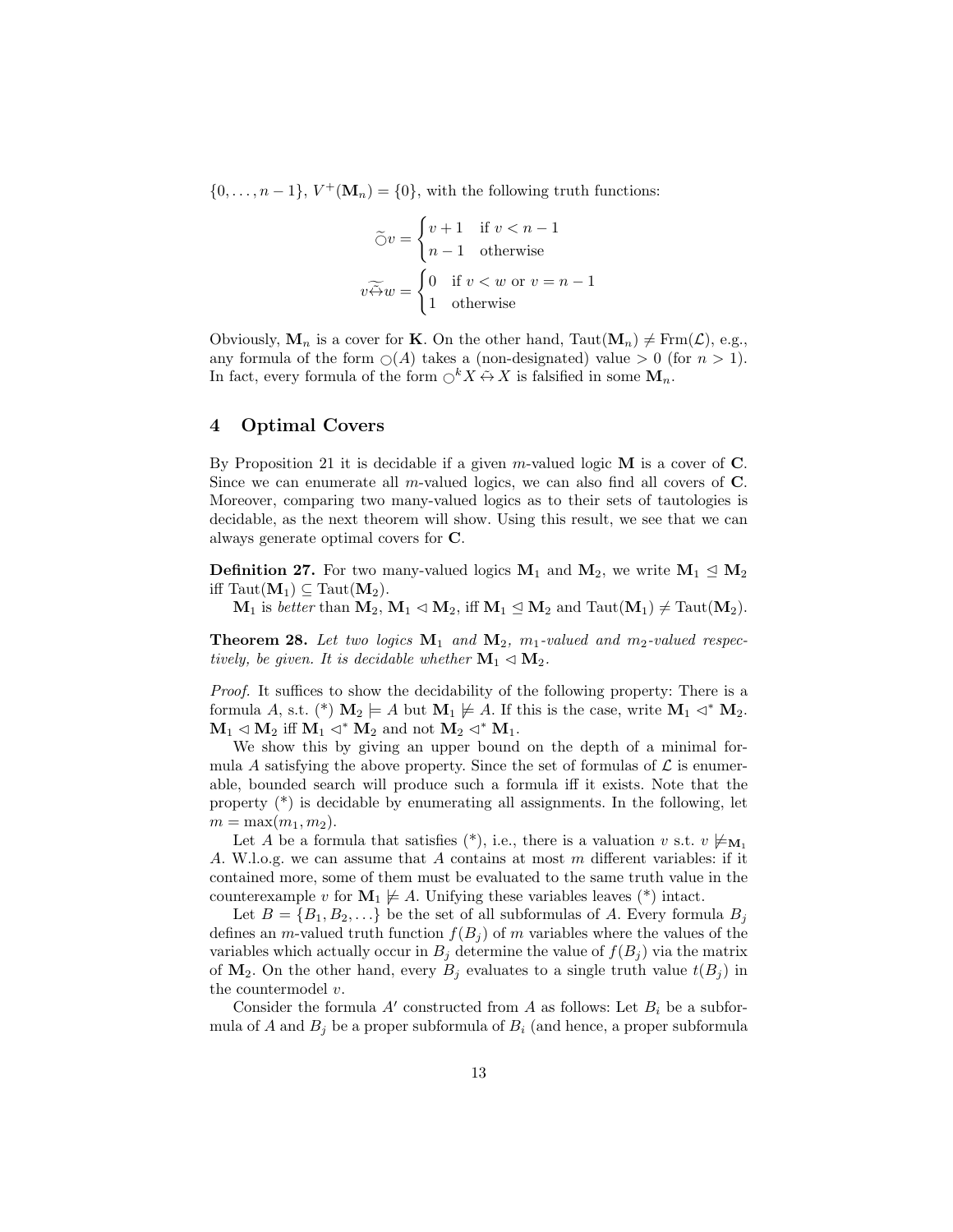$\{0, \ldots, n-1\}, V^+(\mathbf{M}_n) = \{0\},\$  with the following truth functions:

$$
\widetilde{\bigcirc}v = \begin{cases} v+1 & \text{if } v < n-1 \\ n-1 & \text{otherwise} \end{cases}
$$
\n
$$
v \widetilde{\bigcirc} w = \begin{cases} 0 & \text{if } v < w \text{ or } v = n-1 \\ 1 & \text{otherwise} \end{cases}
$$

Obviously,  $M_n$  is a cover for K. On the other hand, Taut $(M_n) \neq \text{Frm}(\mathcal{L})$ , e.g., any formula of the form  $\bigcirc(A)$  takes a (non-designated) value  $> 0$  (for  $n > 1$ ). In fact, every formula of the form  $\bigcirc^k X \stackrel{\sim}{\leftrightarrow} X$  is falsified in some  $\mathbf{M}_n$ .

## 4 Optimal Covers

By Proposition 21 it is decidable if a given m-valued logic  $M$  is a cover of  $C$ . Since we can enumerate all m-valued logics, we can also find all covers of  $\mathbb{C}$ . Moreover, comparing two many-valued logics as to their sets of tautologies is decidable, as the next theorem will show. Using this result, we see that we can always generate optimal covers for C.

**Definition 27.** For two many-valued logics  $M_1$  and  $M_2$ , we write  $M_1 \nleq M_2$ iff Taut $(\mathbf{M}_1) \subseteq$  Taut $(\mathbf{M}_2)$ .

 $M_1$  is better than  $M_2$ ,  $M_1 \triangleleft M_2$ , iff  $M_1 \trianglelefteq M_2$  and  $Taut(M_1) \neq Taut(M_2)$ .

**Theorem 28.** Let two logics  $M_1$  and  $M_2$ ,  $m_1$ -valued and  $m_2$ -valued respectively, be given. It is decidable whether  $M_1 \triangleleft M_2$ .

Proof. It suffices to show the decidability of the following property: There is a formula A, s.t. (\*)  $M_2 \models A$  but  $M_1 \not\models A$ . If this is the case, write  $M_1 \triangleleft^* M_2$ .  $M_1 \triangleleft M_2$  iff  $M_1 \triangleleft^* M_2$  and not  $M_2 \triangleleft^* M_1$ .

We show this by giving an upper bound on the depth of a minimal formula A satisfying the above property. Since the set of formulas of  $\mathcal L$  is enumerable, bounded search will produce such a formula iff it exists. Note that the property (\*) is decidable by enumerating all assignments. In the following, let  $m = \max(m_1, m_2).$ 

Let A be a formula that satisfies  $(*)$ , i.e., there is a valuation v s.t.  $v \not\models_M$ A. W.l.o.g. we can assume that A contains at most m different variables: if it contained more, some of them must be evaluated to the same truth value in the counterexample v for  $M_1 \not\models A$ . Unifying these variables leaves (\*) intact.

Let  $B = \{B_1, B_2, \ldots\}$  be the set of all subformulas of A. Every formula  $B_j$ defines an m-valued truth function  $f(B_i)$  of m variables where the values of the variables which actually occur in  $B_i$  determine the value of  $f(B_i)$  via the matrix of  $M_2$ . On the other hand, every  $B_j$  evaluates to a single truth value  $t(B_j)$  in the countermodel v.

Consider the formula  $A'$  constructed from  $A$  as follows: Let  $B_i$  be a subformula of A and  $B_i$  be a proper subformula of  $B_i$  (and hence, a proper subformula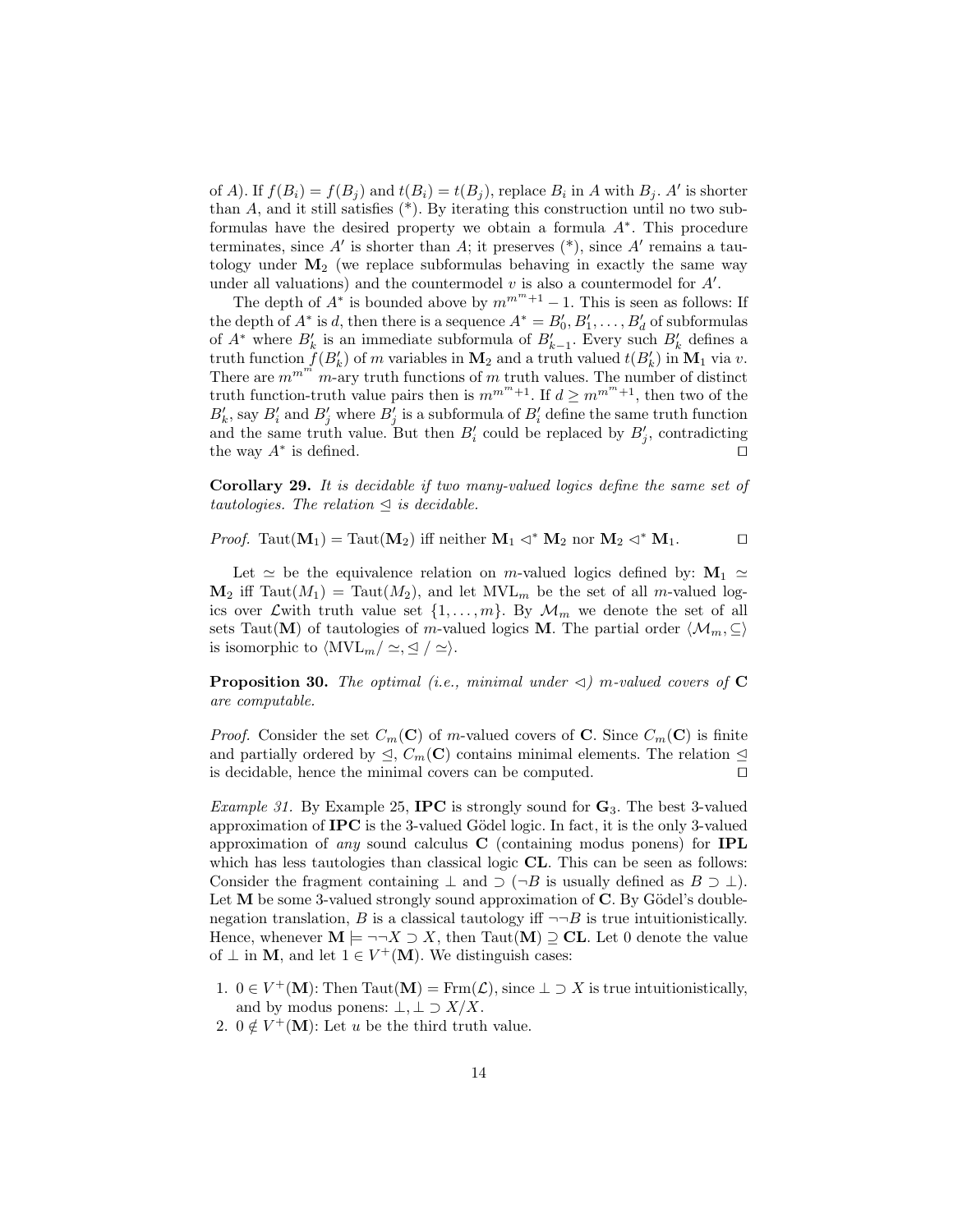of A). If  $f(B_i) = f(B_j)$  and  $t(B_i) = t(B_j)$ , replace  $B_i$  in A with  $B_j$ . A' is shorter than A, and it still satisfies (\*). By iterating this construction until no two subformulas have the desired property we obtain a formula A<sup>∗</sup> . This procedure terminates, since  $A'$  is shorter than  $A$ ; it preserves  $(*)$ , since  $A'$  remains a tautology under  $M_2$  (we replace subformulas behaving in exactly the same way under all valuations) and the countermodel  $v$  is also a countermodel for  $A'$ .

The depth of  $A^*$  is bounded above by  $m^{m^m+1} - 1$ . This is seen as follows: If the depth of  $A^*$  is d, then there is a sequence  $A^* = B'_0, B'_1, \ldots, B'_d$  of subformulas of  $A^*$  where  $B'_k$  is an immediate subformula of  $B'_{k-1}$ . Every such  $B'_k$  defines a truth function  $f(B'_k)$  of m variables in  $M_2$  and a truth valued  $t(B'_k)$  in  $M_1$  via v. There are  $m^{m^m}$  m-ary truth functions of m truth values. The number of distinct truth function-truth value pairs then is  $m^{m^m+1}$ . If  $d \geq m^{m^m+1}$ , then two of the  $B'_{k}$ , say  $B'_{i}$  and  $B'_{j}$  where  $B'_{j}$  is a subformula of  $B'_{i}$  define the same truth function and the same truth value. But then  $B_i'$  could be replaced by  $B_j'$ , contradicting the way  $A^*$  is defined.  $□$ 

Corollary 29. It is decidable if two many-valued logics define the same set of tautologies. The relation  $\leq$  is decidable.

*Proof.* Taut( $M_1$ ) = Taut( $M_2$ ) iff neither  $M_1 \triangleleft^* M_2$  nor  $M_2 \triangleleft^* M_1$ . □

Let  $\simeq$  be the equivalence relation on m-valued logics defined by:  $\mathbf{M}_1 \simeq$  $\mathbf{M}_2$  iff Taut $(M_1)$  = Taut $(M_2)$ , and let  $\text{MVL}_m$  be the set of all m-valued logics over Lwith truth value set  $\{1,\ldots,m\}$ . By  $\mathcal{M}_m$  we denote the set of all sets Taut(M) of tautologies of m-valued logics M. The partial order  $\langle \mathcal{M}_m, \subseteq \rangle$ is isomorphic to  $\langle \text{MVL}_m/\simeq, \leq \rangle$ .

**Proposition 30.** The optimal (i.e., minimal under  $\triangleleft$ ) m-valued covers of C are computable.

*Proof.* Consider the set  $C_m(\mathbf{C})$  of m-valued covers of **C**. Since  $C_m(\mathbf{C})$  is finite and partially ordered by  $\leq$ ,  $C_m(\mathbb{C})$  contains minimal elements. The relation  $\leq$ is decidable, hence the minimal covers can be computed. ⊓⊔

*Example 31.* By Example 25, **IPC** is strongly sound for  $\mathbf{G}_3$ . The best 3-valued approximation of  $IPC$  is the 3-valued Gödel logic. In fact, it is the only 3-valued approximation of *any* sound calculus  $C$  (containing modus ponens) for **IPL** which has less tautologies than classical logic CL. This can be seen as follows: Consider the fragment containing  $\perp$  and  $\supset (\neg B$  is usually defined as  $B \supset \perp$ ). Let  $M$  be some 3-valued strongly sound approximation of  $C$ . By Gödel's doublenegation translation, B is a classical tautology iff  $\neg B$  is true intuitionistically. Hence, whenever  $\mathbf{M} \models \neg\neg X \supset X$ , then Taut $(\mathbf{M}) \supseteq \mathbf{CL}$ . Let 0 denote the value of  $\perp$  in **M**, and let  $1 \in V^+(M)$ . We distinguish cases:

- 1.  $0 \in V^+(\mathbf{M})$ : Then Taut $(\mathbf{M}) = \text{Frm}(\mathcal{L})$ , since  $\perp \supset X$  is true intuitionistically, and by modus ponens:  $\bot, \bot \supset X/X$ .
- 2.  $0 \notin V^+(\mathbf{M})$ : Let u be the third truth value.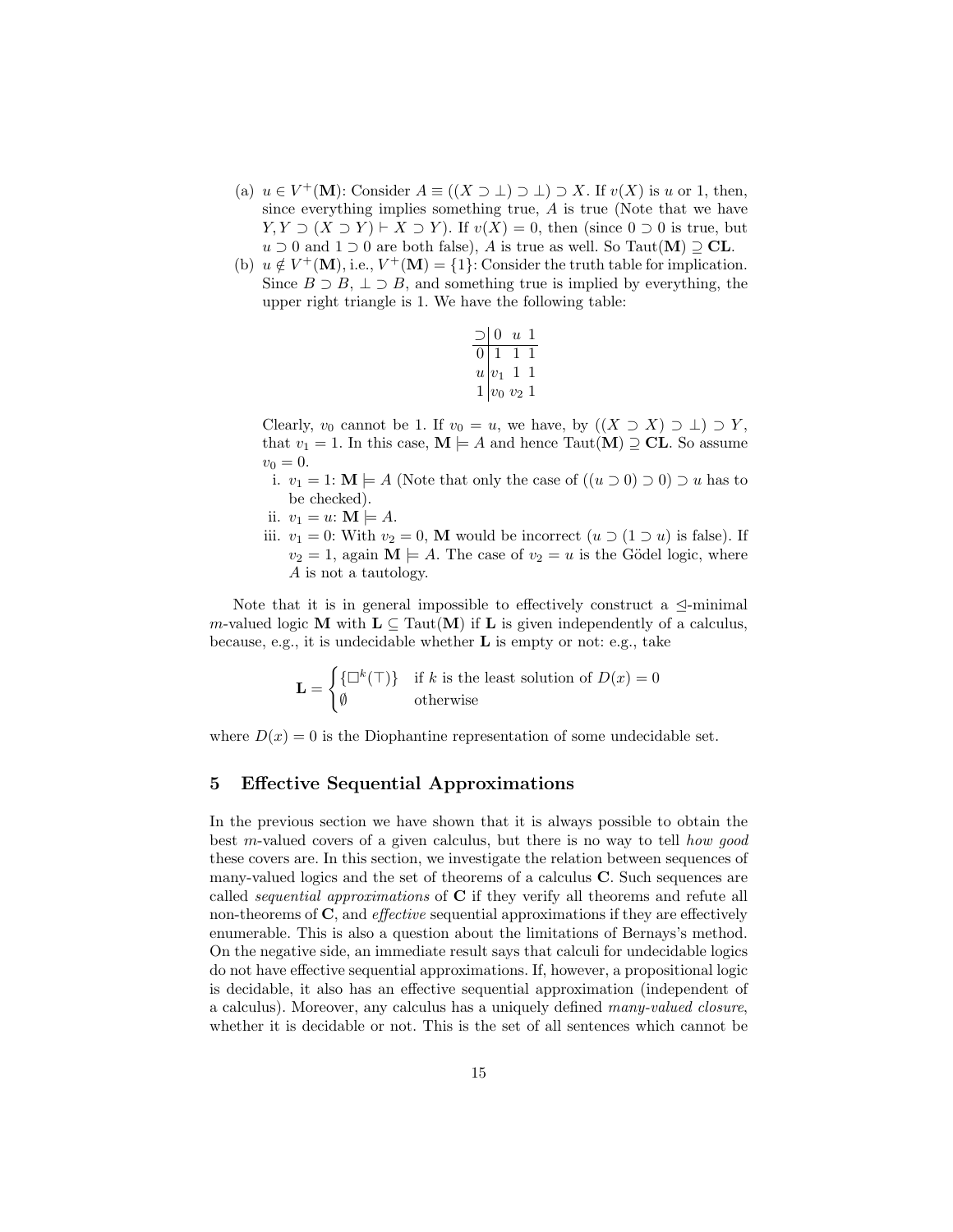- (a)  $u \in V^+(\mathbf{M})$ : Consider  $A \equiv ((X \supset \perp) \supset \perp) \supset X$ . If  $v(X)$  is u or 1, then, since everything implies something true, A is true (Note that we have  $Y, Y \supset (X \supset Y) \vdash X \supset Y$ ). If  $v(X) = 0$ , then (since  $0 \supset 0$  is true, but  $u \supset 0$  and  $1 \supset 0$  are both false), A is true as well. So Taut(M)  $\supseteq$  CL.
- (b)  $u \notin V^+(\mathbf{M})$ , i.e.,  $V^+(\mathbf{M}) = \{1\}$ : Consider the truth table for implication. Since  $B \supset B$ ,  $\perp \supset B$ , and something true is implied by everything, the upper right triangle is 1. We have the following table:

|                |       | $\boldsymbol{u}$ |  |
|----------------|-------|------------------|--|
|                |       |                  |  |
| $\overline{u}$ | $v_1$ |                  |  |
|                | $v_0$ | $v_2$            |  |

Clearly,  $v_0$  cannot be 1. If  $v_0 = u$ , we have, by  $((X \supset X) \supset \bot) \supset Y$ , that  $v_1 = 1$ . In this case,  $\mathbf{M} \models A$  and hence Taut $(\mathbf{M}) \supseteq \mathbf{CL}$ . So assume  $v_0 = 0.$ 

- i.  $v_1 = 1$ :  $\mathbf{M} \models A$  (Note that only the case of  $((u \supset 0) \supset 0) \supset u$  has to be checked).
- ii.  $v_1 = u: \mathbf{M} \models A$ .
- iii.  $v_1 = 0$ : With  $v_2 = 0$ , M would be incorrect  $(u \supset (1 \supset u))$  is false). If  $v_2 = 1$ , again  $M \models A$ . The case of  $v_2 = u$  is the Gödel logic, where A is not a tautology.

Note that it is in general impossible to effectively construct a  $\leq$ -minimal m-valued logic **M** with  $L \subseteq \text{Taut}(M)$  if  $L$  is given independently of a calculus, because, e.g., it is undecidable whether L is empty or not: e.g., take

$$
\mathbf{L} = \begin{cases} {\{\Box^k(\top)\}} & \text{if } k \text{ is the least solution of } D(x) = 0 \\ \emptyset & \text{otherwise} \end{cases}
$$

where  $D(x) = 0$  is the Diophantine representation of some undecidable set.

## 5 Effective Sequential Approximations

In the previous section we have shown that it is always possible to obtain the best m-valued covers of a given calculus, but there is no way to tell how good these covers are. In this section, we investigate the relation between sequences of many-valued logics and the set of theorems of a calculus C. Such sequences are called *sequential approximations* of  $C$  if they verify all theorems and refute all non-theorems of C, and effective sequential approximations if they are effectively enumerable. This is also a question about the limitations of Bernays's method. On the negative side, an immediate result says that calculi for undecidable logics do not have effective sequential approximations. If, however, a propositional logic is decidable, it also has an effective sequential approximation (independent of a calculus). Moreover, any calculus has a uniquely defined many-valued closure, whether it is decidable or not. This is the set of all sentences which cannot be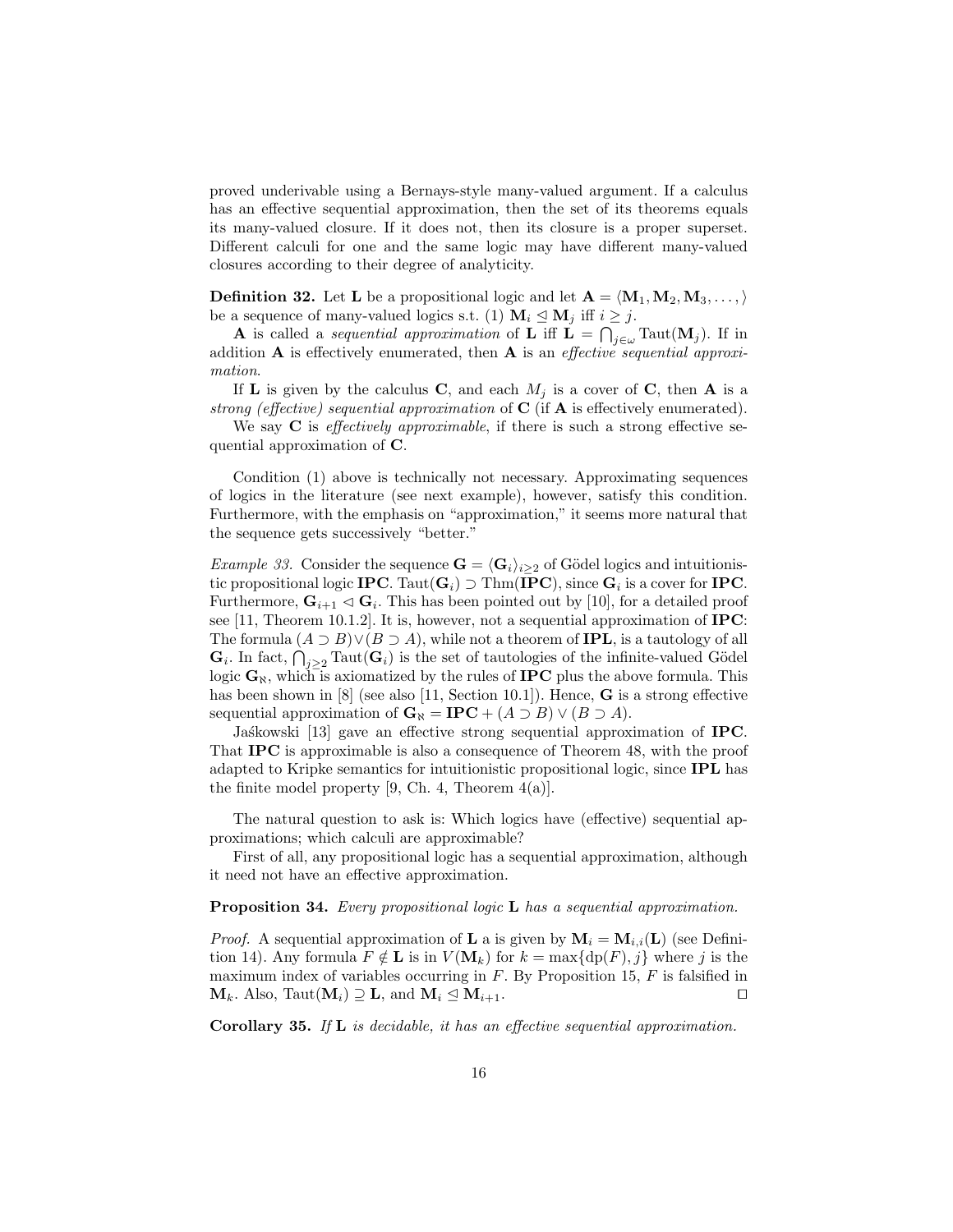proved underivable using a Bernays-style many-valued argument. If a calculus has an effective sequential approximation, then the set of its theorems equals its many-valued closure. If it does not, then its closure is a proper superset. Different calculi for one and the same logic may have different many-valued closures according to their degree of analyticity.

**Definition 32.** Let **L** be a propositional logic and let  $\mathbf{A} = \langle \mathbf{M}_1, \mathbf{M}_2, \mathbf{M}_3, \dots, \rangle$ be a sequence of many-valued logics s.t. (1)  $\mathbf{M}_i \leq \mathbf{M}_j$  iff  $i \geq j$ .

**A** is called a *sequential approximation* of **L** iff  $\mathbf{L} = \bigcap_{j \in \omega} \text{Taut}(\mathbf{M}_j)$ . If in addition  $A$  is effectively enumerated, then  $A$  is an effective sequential approximation.

If **L** is given by the calculus **C**, and each  $M_i$  is a cover of **C**, then **A** is a strong (effective) sequential approximation of  $C$  (if  $A$  is effectively enumerated).

We say  $C$  is *effectively approximable*, if there is such a strong effective sequential approximation of C.

Condition (1) above is technically not necessary. Approximating sequences of logics in the literature (see next example), however, satisfy this condition. Furthermore, with the emphasis on "approximation," it seems more natural that the sequence gets successively "better."

*Example 33.* Consider the sequence  $\mathbf{G} = \langle \mathbf{G}_i \rangle_{i>2}$  of Gödel logics and intuitionistic propositional logic IPC. Taut $(G_i) \supset \text{Thm(IPC)}$ , since  $G_i$  is a cover for IPC. Furthermore,  $\mathbf{G}_{i+1} \triangleleft \mathbf{G}_i$ . This has been pointed out by [10], for a detailed proof see [11, Theorem 10.1.2]. It is, however, not a sequential approximation of IPC: The formula  $(A \supset B) \vee (B \supset A)$ , while not a theorem of **IPL**, is a tautology of all  $\mathbf{G}_i$ . In fact,  $\bigcap_{j\geq 2} \text{Taut}(\mathbf{G}_i)$  is the set of tautologies of the infinite-valued Gödel logic  $\mathbf{G}_{\aleph}$ , which is axiomatized by the rules of **IPC** plus the above formula. This has been shown in [8] (see also [11, Section 10.1]). Hence, **G** is a strong effective sequential approximation of  $\mathbf{G}_{\aleph} = \mathbf{IPC} + (A \supset B) \vee (B \supset A)$ .

Jaskowski  $\left[13\right]$  gave an effective strong sequential approximation of **IPC**. That IPC is approximable is also a consequence of Theorem 48, with the proof adapted to Kripke semantics for intuitionistic propositional logic, since IPL has the finite model property  $[9, Ch. 4, Theorem 4(a)].$ 

The natural question to ask is: Which logics have (effective) sequential approximations; which calculi are approximable?

First of all, any propositional logic has a sequential approximation, although it need not have an effective approximation.

Proposition 34. Every propositional logic L has a sequential approximation.

*Proof.* A sequential approximation of **L** a is given by  $M_i = M_{i,i}(\mathbf{L})$  (see Definition 14). Any formula  $F \notin L$  is in  $V(\mathbf{M}_k)$  for  $k = \max\{\text{dp}(F), j\}$  where j is the maximum index of variables occurring in  $F$ . By Proposition 15,  $F$  is falsified in  $\mathbf{M}_k$ . Also, Taut $(\mathbf{M}_i) \supseteq \mathbf{L}$ , and  $\mathbf{M}_i \preceq \mathbf{M}_{i+1}$ . □

**Corollary 35.** If  $L$  is decidable, it has an effective sequential approximation.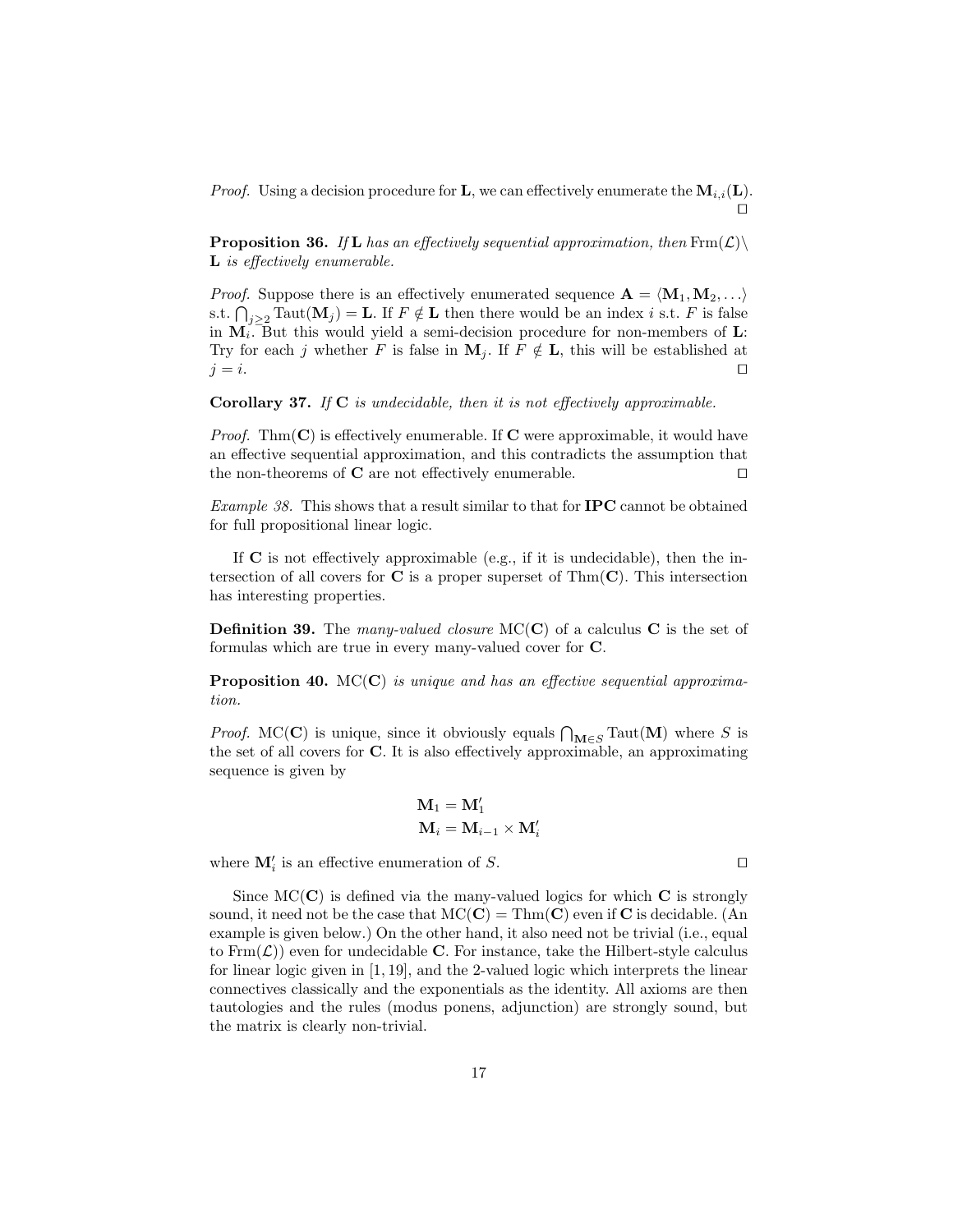*Proof.* Using a decision procedure for **L**, we can effectively enumerate the  $\mathbf{M}_{i,i}(\mathbf{L})$ . ⊓⊔

**Proposition 36.** If **L** has an effectively sequential approximation, then  $\text{Frm}(\mathcal{L})$ L is effectively enumerable.

*Proof.* Suppose there is an effectively enumerated sequence  $\mathbf{A} = \langle \mathbf{M}_1, \mathbf{M}_2, \ldots \rangle$ s.t.  $\bigcap_{j\geq 2} \text{Taut}(\mathbf{M}_j) = \mathbf{L}$ . If  $F \notin \mathbf{L}$  then there would be an index i s.t. F is false in  $M_i$ . But this would yield a semi-decision procedure for non-members of **L**: Try for each j whether F is false in  $M_j$ . If  $F \notin L$ , this will be established at  $j = i$ .  $□$ 

**Corollary 37.** If  $C$  is undecidable, then it is not effectively approximable.

*Proof.* Thm $(C)$  is effectively enumerable. If C were approximable, it would have an effective sequential approximation, and this contradicts the assumption that the non-theorems of **C** are not effectively enumerable. □

Example 38. This shows that a result similar to that for IPC cannot be obtained for full propositional linear logic.

If  $C$  is not effectively approximable (e.g., if it is undecidable), then the intersection of all covers for  $C$  is a proper superset of Thm $(C)$ . This intersection has interesting properties.

**Definition 39.** The many-valued closure  $MC(C)$  of a calculus C is the set of formulas which are true in every many-valued cover for C.

**Proposition 40.** MC( $\mathbf{C}$ ) is unique and has an effective sequential approximation.

*Proof.* MC(**C**) is unique, since it obviously equals  $\bigcap_{M \in S} \text{Taut}(M)$  where S is the set of all covers for C. It is also effectively approximable, an approximating sequence is given by

$$
\begin{aligned} \mathbf{M}_1 &= \mathbf{M}'_1 \\ \mathbf{M}_i &= \mathbf{M}_{i-1} \times \mathbf{M}'_i \end{aligned}
$$

where  $\mathbf{M}'_i$  is an effective enumeration of S. □

Since  $MC(C)$  is defined via the many-valued logics for which  $C$  is strongly sound, it need not be the case that  $MC(C) = Thm(C)$  even if C is decidable. (An example is given below.) On the other hand, it also need not be trivial (i.e., equal to  $Frm(\mathcal{L})$  even for undecidable C. For instance, take the Hilbert-style calculus for linear logic given in [1, 19], and the 2-valued logic which interprets the linear connectives classically and the exponentials as the identity. All axioms are then tautologies and the rules (modus ponens, adjunction) are strongly sound, but the matrix is clearly non-trivial.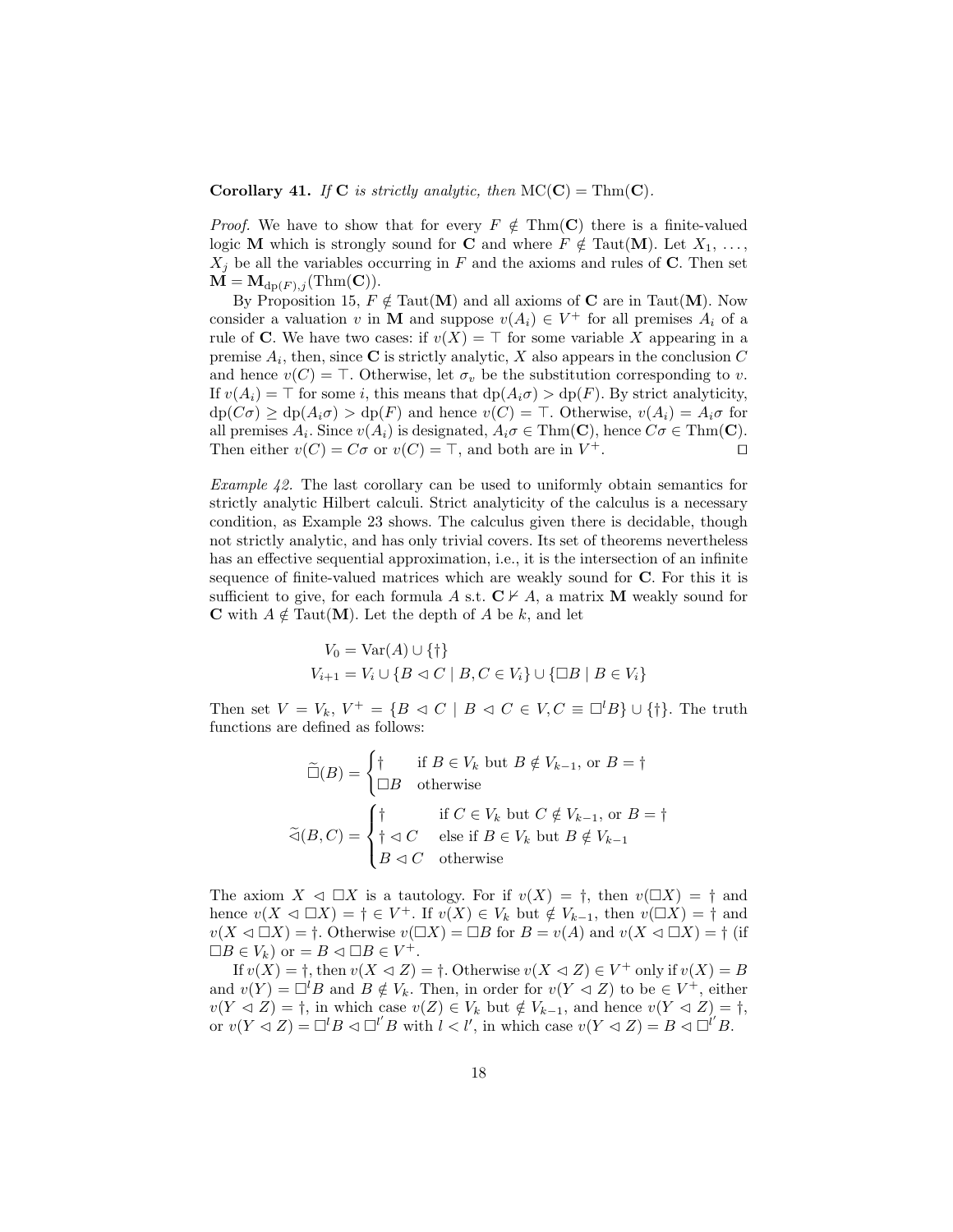**Corollary 41.** If **C** is strictly analytic, then  $MC(C) = Thm(C)$ .

*Proof.* We have to show that for every  $F \notin \text{Thm}(\mathbb{C})$  there is a finite-valued logic **M** which is strongly sound for **C** and where  $F \notin \text{Taut}(\mathbf{M})$ . Let  $X_1, \ldots,$  $X_j$  be all the variables occurring in F and the axioms and rules of C. Then set  $\mathbf{M} = \mathbf{M}_{dp(F),j}(\text{Thm}(\mathbf{C})).$ 

By Proposition 15,  $F \notin \text{Taut}(\mathbf{M})$  and all axioms of **C** are in Taut $(\mathbf{M})$ . Now consider a valuation v in M and suppose  $v(A_i) \in V^+$  for all premises  $A_i$  of a rule of C. We have two cases: if  $v(X) = \top$  for some variable X appearing in a premise  $A_i$ , then, since **C** is strictly analytic, X also appears in the conclusion C and hence  $v(C) = \top$ . Otherwise, let  $\sigma_v$  be the substitution corresponding to v. If  $v(A_i) = \top$  for some i, this means that  $dp(A_i \sigma) > dp(F)$ . By strict analyticity,  $dp(C\sigma) \ge dp(A_i\sigma) > dp(F)$  and hence  $v(C) = \top$ . Otherwise,  $v(A_i) = A_i\sigma$  for all premises  $A_i$ . Since  $v(A_i)$  is designated,  $A_i \sigma \in \text{Thm}(\mathbf{C})$ , hence  $C \sigma \in \text{Thm}(\mathbf{C})$ . Then either  $v(C) = C\sigma$  or  $v(C) = \top$ , and both are in  $V^+$ . <sup>+</sup>. ⊓⊔

Example 42. The last corollary can be used to uniformly obtain semantics for strictly analytic Hilbert calculi. Strict analyticity of the calculus is a necessary condition, as Example 23 shows. The calculus given there is decidable, though not strictly analytic, and has only trivial covers. Its set of theorems nevertheless has an effective sequential approximation, i.e., it is the intersection of an infinite sequence of finite-valued matrices which are weakly sound for C. For this it is sufficient to give, for each formula A s.t.  $C \nvdash A$ , a matrix M weakly sound for **C** with  $A \notin \text{Taut}(\mathbf{M})$ . Let the depth of A be k, and let

$$
V_0 = \text{Var}(A) \cup \{\dagger\}
$$
  

$$
V_{i+1} = V_i \cup \{B \lhd C \mid B, C \in V_i\} \cup \{\Box B \mid B \in V_i\}
$$

Then set  $V = V_k$ ,  $V^+ = \{B \triangleleft C \mid B \triangleleft C \in V, C \equiv \Box^l B\} \cup \{\dagger\}.$  The truth functions are defined as follows:

$$
\widetilde{\Box}(B) = \begin{cases}\n\dagger & \text{if } B \in V_k \text{ but } B \notin V_{k-1}, \text{ or } B = \dagger \\
\Box B & \text{otherwise}\n\end{cases}
$$
\n
$$
\widetilde{\lhd}(B, C) = \begin{cases}\n\dagger & \text{if } C \in V_k \text{ but } C \notin V_{k-1}, \text{ or } B = \dagger \\
\dagger \lhd C & \text{else if } B \in V_k \text{ but } B \notin V_{k-1} \\
B \lhd C & \text{otherwise}\n\end{cases}
$$

The axiom  $X \triangleleft \square X$  is a tautology. For if  $v(X) = \dagger$ , then  $v(\square X) = \dagger$  and hence  $v(X \triangleleft \Box X) = \dagger \in V^+$ . If  $v(X) \in V_k$  but  $\notin V_{k-1}$ , then  $v(\Box X) = \dagger$  and  $v(X \triangleleft \Box X) = \dagger$ . Otherwise  $v(\Box X) = \Box B$  for  $B = v(A)$  and  $v(X \triangleleft \Box X) = \dagger$  (if  $\Box B \in V_k$ ) or =  $B \lhd \Box B \in V^+$ .

If  $v(X) = \dagger$ , then  $v(X \triangleleft Z) = \dagger$ . Otherwise  $v(X \triangleleft Z) \in V^+$  only if  $v(X) = B$ and  $v(Y) = \Box^l B$  and  $B \notin V_k$ . Then, in order for  $v(Y \triangleleft Z)$  to be  $\in V^+$ , either  $v(Y \triangleleft Z) = \dagger$ , in which case  $v(Z) \in V_k$  but  $\notin V_{k-1}$ , and hence  $v(Y \triangleleft Z) = \dagger$ , or  $v(Y \triangleleft Z) = \Box^l B \triangleleft \Box^{l'} B$  with  $l < l'$ , in which case  $v(Y \triangleleft Z) = B \triangleleft \Box^{l'} B$ .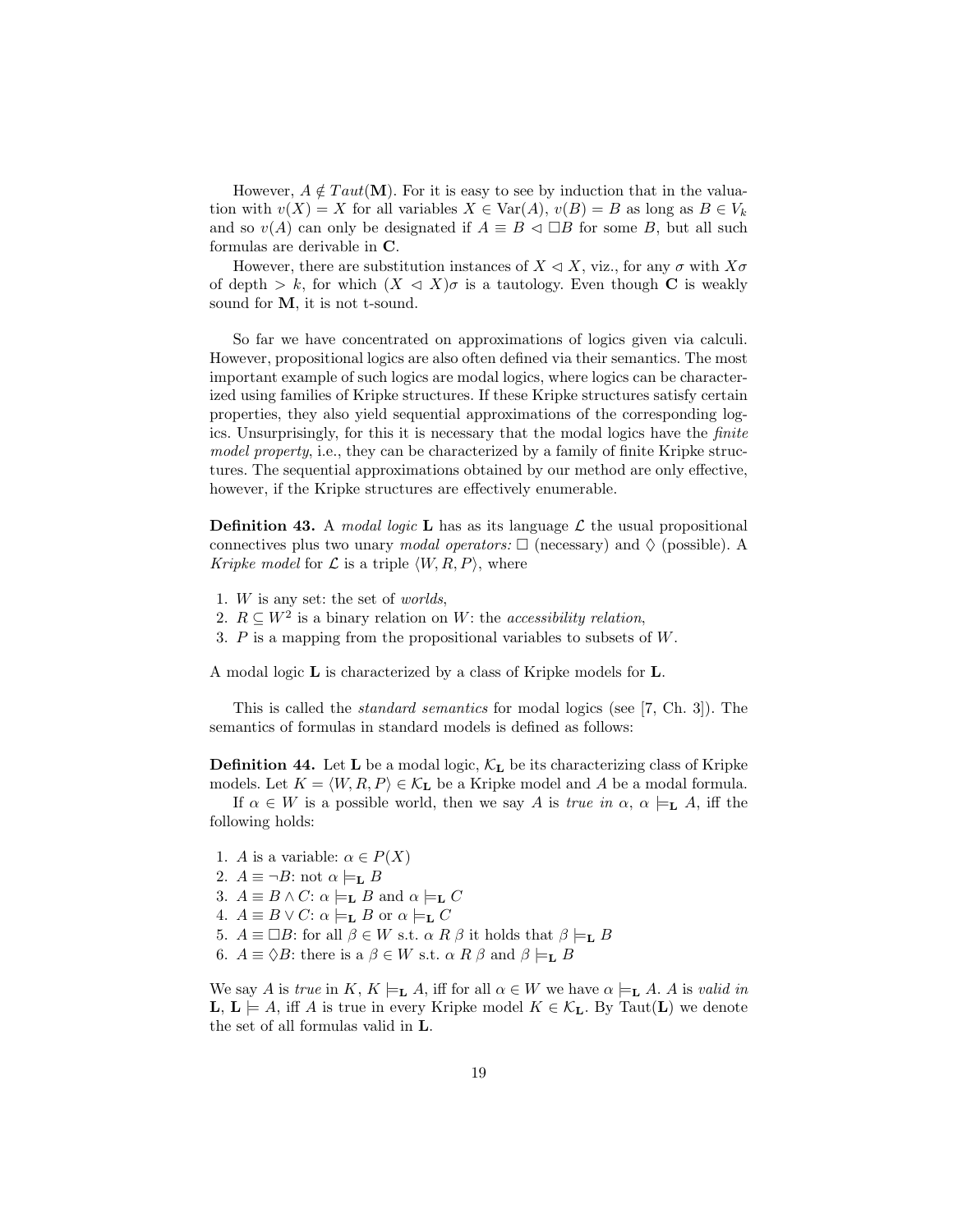However,  $A \notin Taut(\mathbf{M})$ . For it is easy to see by induction that in the valuation with  $v(X) = X$  for all variables  $X \in \text{Var}(A), v(B) = B$  as long as  $B \in V_k$ and so  $v(A)$  can only be designated if  $A \equiv B \triangleleft \Box B$  for some B, but all such formulas are derivable in C.

However, there are substitution instances of  $X \triangleleft X$ , viz., for any  $\sigma$  with  $X\sigma$ of depth  $\geq k$ , for which  $(X \triangleleft X)\sigma$  is a tautology. Even though C is weakly sound for M, it is not t-sound.

So far we have concentrated on approximations of logics given via calculi. However, propositional logics are also often defined via their semantics. The most important example of such logics are modal logics, where logics can be characterized using families of Kripke structures. If these Kripke structures satisfy certain properties, they also yield sequential approximations of the corresponding logics. Unsurprisingly, for this it is necessary that the modal logics have the finite model property, i.e., they can be characterized by a family of finite Kripke structures. The sequential approximations obtained by our method are only effective, however, if the Kripke structures are effectively enumerable.

**Definition 43.** A *modal logic* **L** has as its language  $\mathcal{L}$  the usual propositional connectives plus two unary modal operators:  $\square$  (necessary) and  $\diamondsuit$  (possible). A Kripke model for  $\mathcal L$  is a triple  $\langle W, R, P \rangle$ , where

- 1. W is any set: the set of worlds,
- 2.  $R \subseteq W^2$  is a binary relation on W: the *accessibility relation*,
- 3.  $P$  is a mapping from the propositional variables to subsets of  $W$ .

A modal logic L is characterized by a class of Kripke models for L.

This is called the standard semantics for modal logics (see [7, Ch. 3]). The semantics of formulas in standard models is defined as follows:

**Definition 44.** Let **L** be a modal logic,  $\mathcal{K}_{L}$  be its characterizing class of Kripke models. Let  $K = \langle W, R, P \rangle \in \mathcal{K}_{\mathbf{L}}$  be a Kripke model and A be a modal formula.

If  $\alpha \in W$  is a possible world, then we say A is true in  $\alpha$ ,  $\alpha \models_L A$ , iff the following holds:

- 1. A is a variable:  $\alpha \in P(X)$
- 2.  $A \equiv \neg B$ : not  $\alpha \models_{\mathbf{L}} B$
- 3.  $A \equiv B \wedge C$ :  $\alpha \models_L B$  and  $\alpha \models_L C$
- 4.  $A \equiv B \vee C$ :  $\alpha \models_{\mathbf{L}} B$  or  $\alpha \models_{\mathbf{L}} C$
- 5.  $A \equiv \Box B$ : for all  $\beta \in W$  s.t.  $\alpha R \beta$  it holds that  $\beta \models_L B$
- 6.  $A \equiv \Diamond B$ : there is a  $\beta \in W$  s.t.  $\alpha R \beta$  and  $\beta \models_L B$

We say A is true in K,  $K \models_L A$ , iff for all  $\alpha \in W$  we have  $\alpha \models_L A$ . A is valid in **L**,  $L \models A$ , iff A is true in every Kripke model  $K \in \mathcal{K}_L$ . By Taut(L) we denote the set of all formulas valid in L.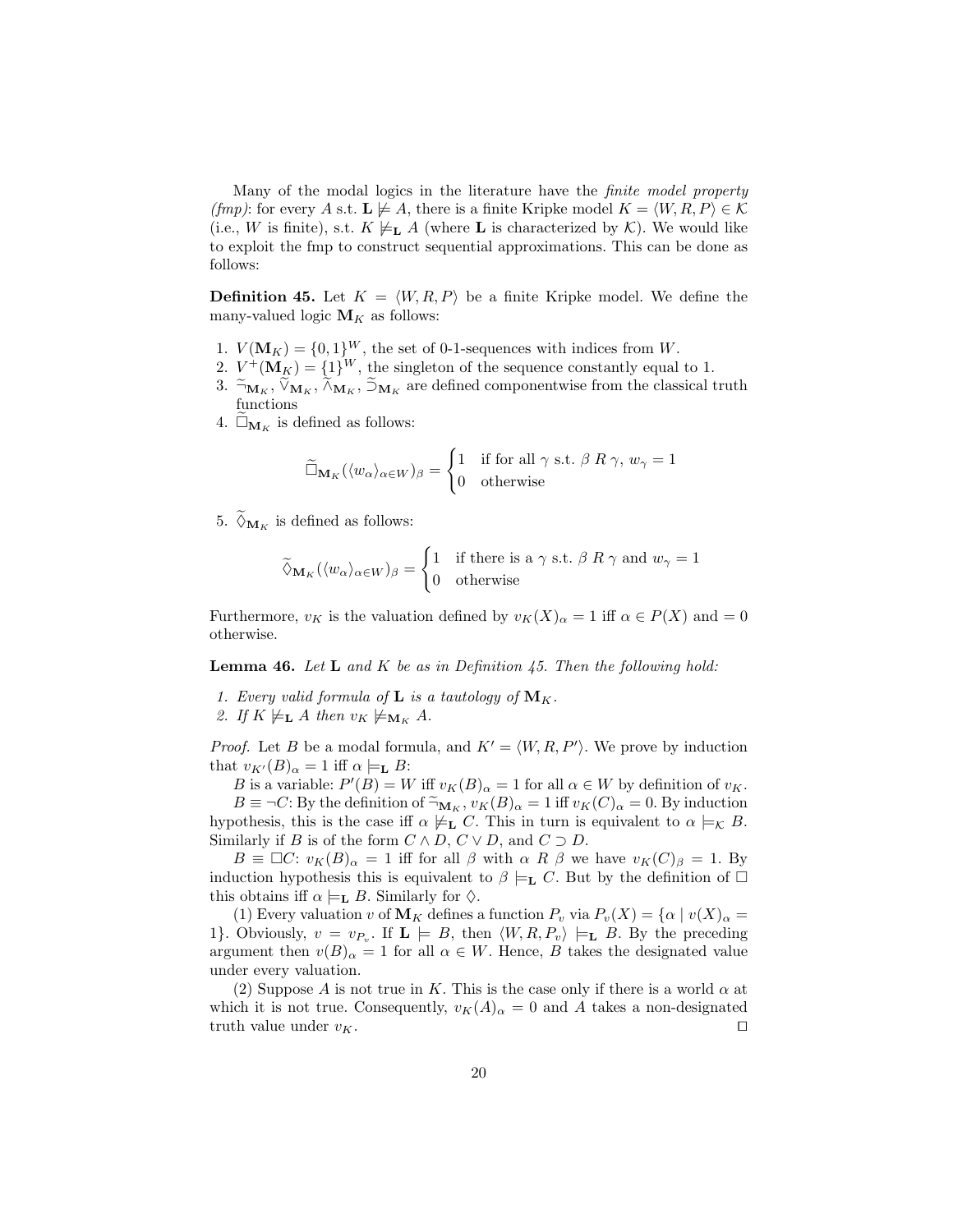Many of the modal logics in the literature have the finite model property (fmp): for every A s.t.  $\mathbf{L} \not\models A$ , there is a finite Kripke model  $K = \langle W, R, P \rangle \in \mathcal{K}$ (i.e., W is finite), s.t.  $K \not\models_{\mathbf{L}} A$  (where  $\mathbf{L}$  is characterized by  $\mathcal{K}$ ). We would like to exploit the fmp to construct sequential approximations. This can be done as follows:

**Definition 45.** Let  $K = \langle W, R, P \rangle$  be a finite Kripke model. We define the many-valued logic  $M_K$  as follows:

- 1.  $V(\mathbf{M}_K) = \{0,1\}^W$ , the set of 0-1-sequences with indices from W.
- 2.  $V^+({\bf M}_K) = {1}^{W}$ , the singleton of the sequence constantly equal to 1.
- 3.  $\tilde{\neg}_{M_K}$ ,  $\tilde{\vee}_{M_K}$ ,  $\tilde{\wedge}_{M_K}$ ,  $\tilde{\supset}_{M_K}$  are defined componentwise from the classical truth functions
- 4.  $\square_{\mathbf{M}_K}$  is defined as follows:

$$
\widetilde{\Box}_{\mathbf{M}_K}(\langle w_\alpha\rangle_{\alpha\in W})_\beta = \begin{cases} 1 & \text{if for all } \gamma \text{ s.t. } \beta \; R \; \gamma, \, w_\gamma = 1 \\ 0 & \text{otherwise} \end{cases}
$$

5.  $\mathcal{O}_{\mathbf{M}_K}$  is defined as follows:

$$
\widetilde{\Diamond}_{\mathbf{M}_K}(\langle w_\alpha \rangle_{\alpha \in W})_\beta = \begin{cases} 1 & \text{if there is a } \gamma \text{ s.t. } \beta \; R \; \gamma \text{ and } w_\gamma = 1 \\ 0 & \text{otherwise} \end{cases}
$$

Furthermore,  $v_K$  is the valuation defined by  $v_K(X)_{\alpha} = 1$  iff  $\alpha \in P(X)$  and  $= 0$ otherwise.

**Lemma 46.** Let  $L$  and  $K$  be as in Definition 45. Then the following hold:

- 1. Every valid formula of **L** is a tautology of  $M_K$ .
- 2. If  $K \not\models_{\mathbf{L}} A$  then  $v_K \not\models_{\mathbf{M}_K} A$ .

*Proof.* Let B be a modal formula, and  $K' = \langle W, R, P' \rangle$ . We prove by induction that  $v_{K'}(B)_{\alpha} = 1$  iff  $\alpha \models_L B$ :

B is a variable:  $P'(B) = W$  iff  $v_K(B)_\alpha = 1$  for all  $\alpha \in W$  by definition of  $v_K$ .  $B \equiv \neg C$ : By the definition of  $\tilde{\neg}_{\mathbf{M}_K}$ ,  $v_K(B)_{\alpha} = 1$  iff  $v_K(C)_{\alpha} = 0$ . By induction hypothesis, this is the case iff  $\alpha \not\models_L C$ . This in turn is equivalent to  $\alpha \models_K B$ . Similarly if B is of the form  $C \wedge D$ ,  $C \vee D$ , and  $C \supset D$ .

 $B \equiv \Box C$ :  $v_K(B)_{\alpha} = 1$  iff for all  $\beta$  with  $\alpha R \beta$  we have  $v_K(C)_{\beta} = 1$ . By induction hypothesis this is equivalent to  $\beta \models_L C$ . But by the definition of  $\Box$ this obtains iff  $\alpha \models_L B$ . Similarly for  $\diamond$ .

(1) Every valuation v of  $\mathbf{M}_K$  defines a function  $P_v$  via  $P_v(X) = \{ \alpha \mid v(X)_{\alpha} =$ 1}. Obviously,  $v = v_{P_v}$ . If  $\mathbf{L} \models B$ , then  $\langle W, R, P_v \rangle \models_{\mathbf{L}} B$ . By the preceding argument then  $v(B)_{\alpha} = 1$  for all  $\alpha \in W$ . Hence, B takes the designated value under every valuation.

(2) Suppose A is not true in K. This is the case only if there is a world  $\alpha$  at which it is not true. Consequently,  $v_K(A)_{\alpha} = 0$  and A takes a non-designated truth value under  $v_K$ . □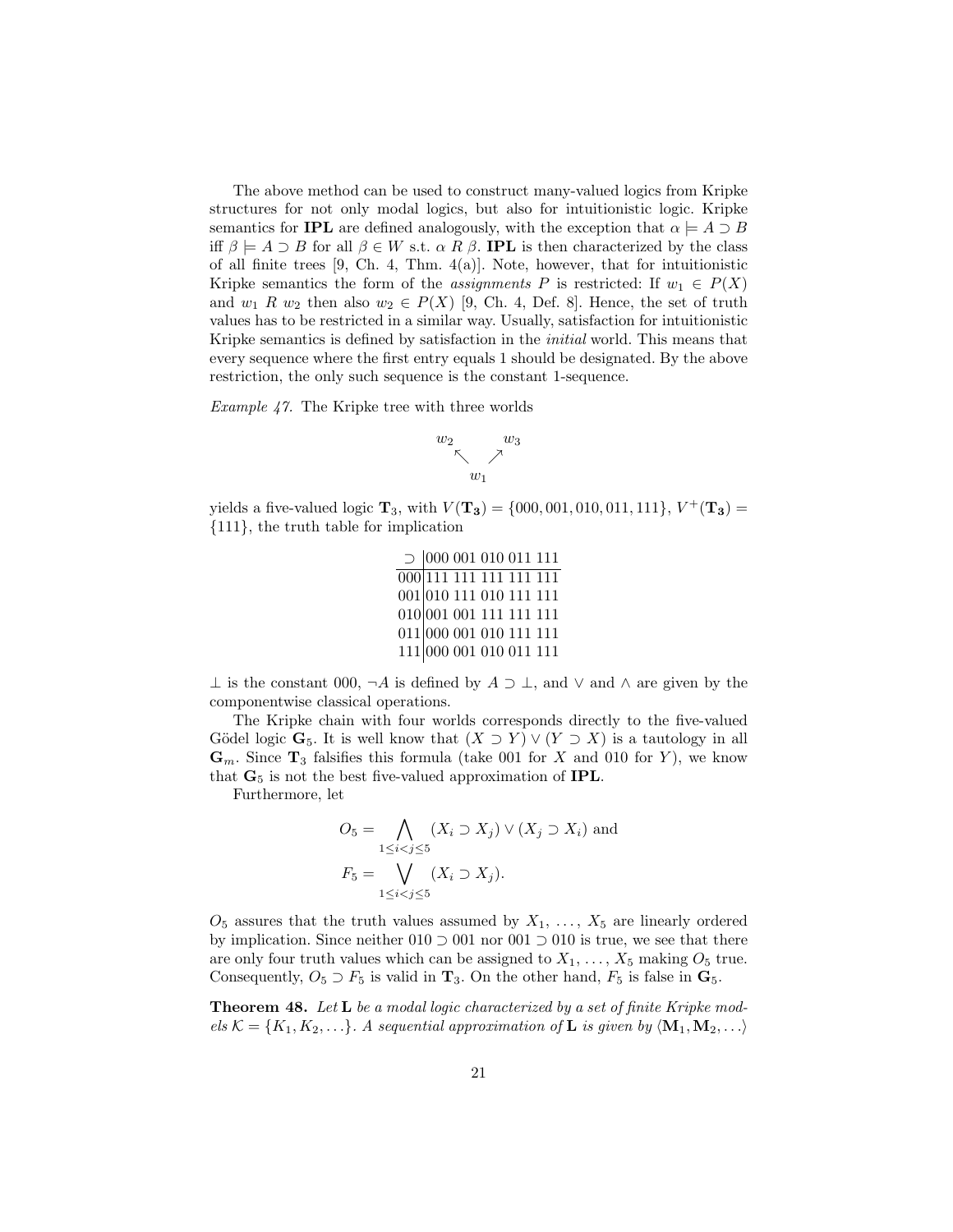The above method can be used to construct many-valued logics from Kripke structures for not only modal logics, but also for intuitionistic logic. Kripke semantics for **IPL** are defined analogously, with the exception that  $\alpha \models A \supset B$ iff  $\beta \models A \supset B$  for all  $\beta \in W$  s.t.  $\alpha R \beta$ . **IPL** is then characterized by the class of all finite trees [9, Ch. 4, Thm. 4(a)]. Note, however, that for intuitionistic Kripke semantics the form of the assignments P is restricted: If  $w_1 \in P(X)$ and  $w_1$  R  $w_2$  then also  $w_2 \in P(X)$  [9, Ch. 4, Def. 8]. Hence, the set of truth values has to be restricted in a similar way. Usually, satisfaction for intuitionistic Kripke semantics is defined by satisfaction in the initial world. This means that every sequence where the first entry equals 1 should be designated. By the above restriction, the only such sequence is the constant 1-sequence.

Example 47. The Kripke tree with three worlds

$$
\begin{matrix}w_2 & w_3\\ \nwarrow & \nearrow\\ w_1\end{matrix}
$$

yields a five-valued logic  $\mathbf{T}_3$ , with  $V(\mathbf{T}_3) = \{000, 001, 010, 011, 111\}$ ,  $V^+(\mathbf{T}_3) =$ {111}, the truth table for implication

|  | $\supset$  000 001 010 011 111                   |  |
|--|--------------------------------------------------|--|
|  | $\overline{000} \boxed{111\ 111\ 111\ 111\ 111}$ |  |
|  |                                                  |  |
|  |                                                  |  |
|  |                                                  |  |
|  |                                                  |  |

⊥ is the constant 000,  $\neg A$  is defined by  $A \supset \bot$ , and  $\vee$  and  $\wedge$  are given by the componentwise classical operations.

The Kripke chain with four worlds corresponds directly to the five-valued Gödel logic  $\mathbf{G}_5$ . It is well know that  $(X \supset Y) \vee (Y \supset X)$  is a tautology in all  $\mathbf{G}_m$ . Since  $\mathbf{T}_3$  falsifies this formula (take 001 for X and 010 for Y), we know that  $\mathbf{G}_5$  is not the best five-valued approximation of IPL.

Furthermore, let

$$
O_5 = \bigwedge_{1 \le i < j \le 5} (X_i \supset X_j) \vee (X_j \supset X_i) \text{ and}
$$
\n
$$
F_5 = \bigvee_{1 \le i < j \le 5} (X_i \supset X_j).
$$

 $O_5$  assures that the truth values assumed by  $X_1, \ldots, X_5$  are linearly ordered by implication. Since neither 010  $\supset$  001 nor 001  $\supset$  010 is true, we see that there are only four truth values which can be assigned to  $X_1, \ldots, X_5$  making  $O_5$  true. Consequently,  $O_5 \supset F_5$  is valid in  $\mathbf{T}_3$ . On the other hand,  $F_5$  is false in  $\mathbf{G}_5$ .

Theorem 48. Let L be a modal logic characterized by a set of finite Kripke mod $els \mathcal{K} = \{K_1, K_2, \ldots\}$ . A sequential approximation of **L** is given by  $\langle \mathbf{M}_1, \mathbf{M}_2, \ldots \rangle$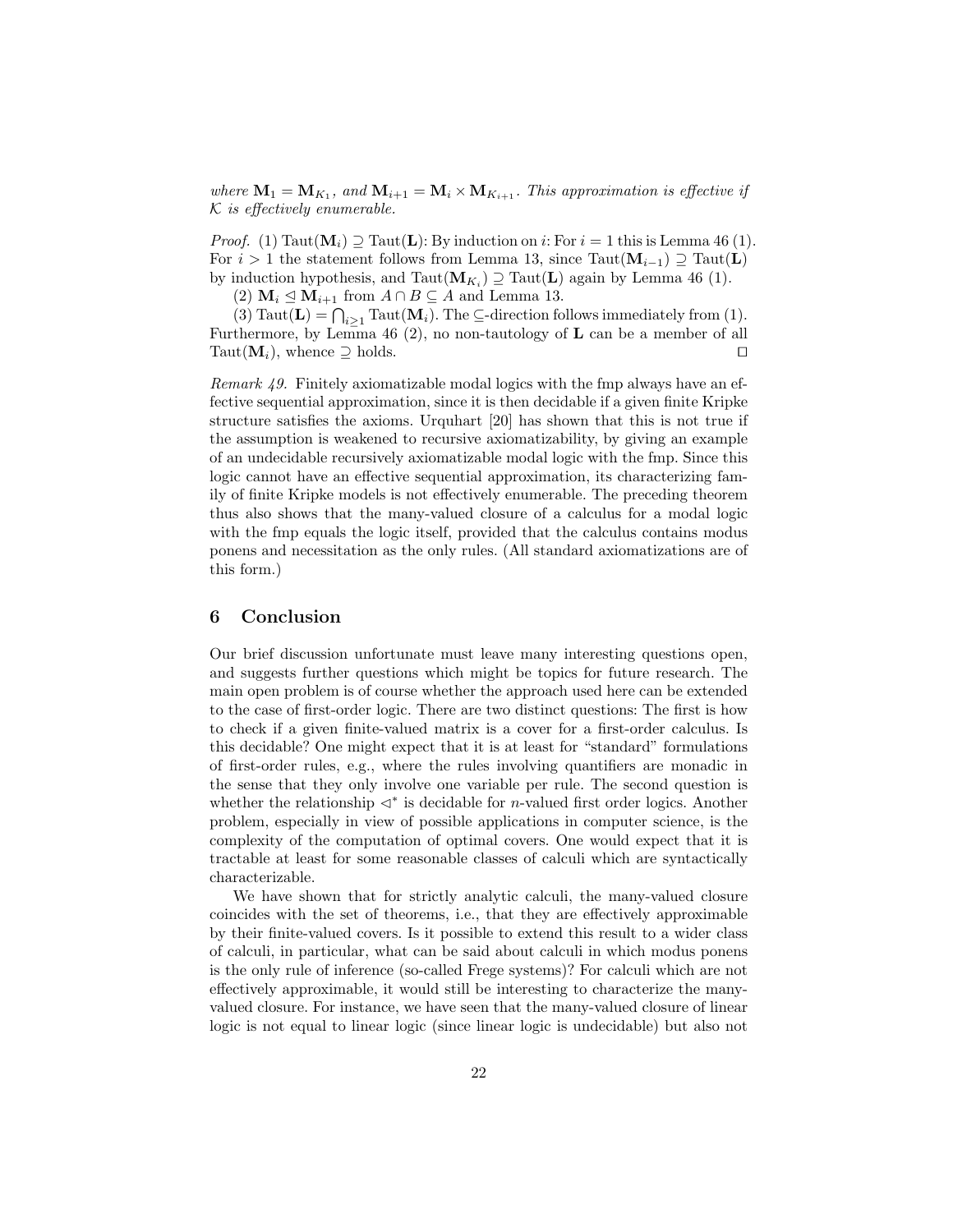where  $M_1 = M_{K_1}$ , and  $M_{i+1} = M_i \times M_{K_{i+1}}$ . This approximation is effective if  $K$  is effectively enumerable.

*Proof.* (1) Taut $(\mathbf{M}_i) \supseteq \text{Taut}(\mathbf{L})$ : By induction on i: For  $i = 1$  this is Lemma 46 (1). For  $i > 1$  the statement follows from Lemma 13, since Taut( $\mathbf{M}_{i-1}$ ) ⊇ Taut( $\mathbf{L}$ ) by induction hypothesis, and  $Taut(\mathbf{M}_{K_i}) \supseteq Taut(\mathbf{L})$  again by Lemma 46 (1).

(2)  $\mathbf{M}_i \leq \mathbf{M}_{i+1}$  from  $A \cap B \subseteq A$  and Lemma 13.

(3) Taut(**L**) =  $\bigcap_{i \geq 1}$  Taut(**M**<sub>i</sub>). The  $\subseteq$ -direction follows immediately from (1). Furthermore, by Lemma 46 (2), no non-tautology of  **can be a member of all** Taut $(\mathbf{M}_i)$ , whence  $\supset$  holds. □

Remark 49. Finitely axiomatizable modal logics with the fmp always have an effective sequential approximation, since it is then decidable if a given finite Kripke structure satisfies the axioms. Urquhart [20] has shown that this is not true if the assumption is weakened to recursive axiomatizability, by giving an example of an undecidable recursively axiomatizable modal logic with the fmp. Since this logic cannot have an effective sequential approximation, its characterizing family of finite Kripke models is not effectively enumerable. The preceding theorem thus also shows that the many-valued closure of a calculus for a modal logic with the fmp equals the logic itself, provided that the calculus contains modus ponens and necessitation as the only rules. (All standard axiomatizations are of this form.)

#### 6 Conclusion

Our brief discussion unfortunate must leave many interesting questions open, and suggests further questions which might be topics for future research. The main open problem is of course whether the approach used here can be extended to the case of first-order logic. There are two distinct questions: The first is how to check if a given finite-valued matrix is a cover for a first-order calculus. Is this decidable? One might expect that it is at least for "standard" formulations of first-order rules, e.g., where the rules involving quantifiers are monadic in the sense that they only involve one variable per rule. The second question is whether the relationship  $\triangleleft^*$  is decidable for *n*-valued first order logics. Another problem, especially in view of possible applications in computer science, is the complexity of the computation of optimal covers. One would expect that it is tractable at least for some reasonable classes of calculi which are syntactically characterizable.

We have shown that for strictly analytic calculi, the many-valued closure coincides with the set of theorems, i.e., that they are effectively approximable by their finite-valued covers. Is it possible to extend this result to a wider class of calculi, in particular, what can be said about calculi in which modus ponens is the only rule of inference (so-called Frege systems)? For calculi which are not effectively approximable, it would still be interesting to characterize the manyvalued closure. For instance, we have seen that the many-valued closure of linear logic is not equal to linear logic (since linear logic is undecidable) but also not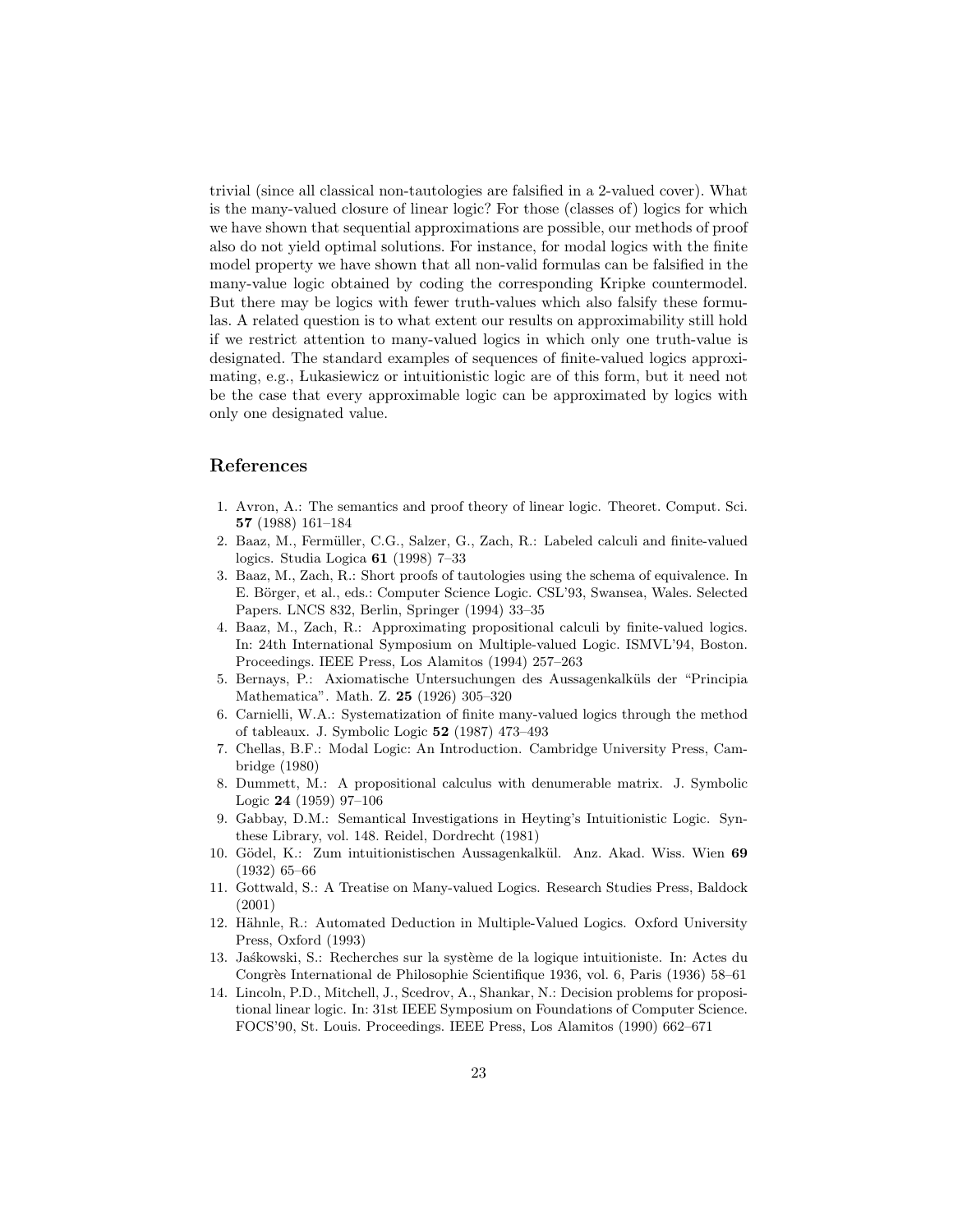trivial (since all classical non-tautologies are falsified in a 2-valued cover). What is the many-valued closure of linear logic? For those (classes of) logics for which we have shown that sequential approximations are possible, our methods of proof also do not yield optimal solutions. For instance, for modal logics with the finite model property we have shown that all non-valid formulas can be falsified in the many-value logic obtained by coding the corresponding Kripke countermodel. But there may be logics with fewer truth-values which also falsify these formulas. A related question is to what extent our results on approximability still hold if we restrict attention to many-valued logics in which only one truth-value is designated. The standard examples of sequences of finite-valued logics approximating, e.g., Lukasiewicz or intuitionistic logic are of this form, but it need not be the case that every approximable logic can be approximated by logics with only one designated value.

# References

- 1. Avron, A.: The semantics and proof theory of linear logic. Theoret. Comput. Sci. 57 (1988) 161–184
- 2. Baaz, M., Fermüller, C.G., Salzer, G., Zach, R.: Labeled calculi and finite-valued logics. Studia Logica 61 (1998) 7–33
- 3. Baaz, M., Zach, R.: Short proofs of tautologies using the schema of equivalence. In E. Börger, et al., eds.: Computer Science Logic. CSL'93, Swansea, Wales. Selected Papers. LNCS 832, Berlin, Springer (1994) 33–35
- 4. Baaz, M., Zach, R.: Approximating propositional calculi by finite-valued logics. In: 24th International Symposium on Multiple-valued Logic. ISMVL'94, Boston. Proceedings. IEEE Press, Los Alamitos (1994) 257–263
- 5. Bernays, P.: Axiomatische Untersuchungen des Aussagenkalküls der "Principia Mathematica". Math. Z. 25 (1926) 305–320
- 6. Carnielli, W.A.: Systematization of finite many-valued logics through the method of tableaux. J. Symbolic Logic 52 (1987) 473–493
- 7. Chellas, B.F.: Modal Logic: An Introduction. Cambridge University Press, Cambridge (1980)
- 8. Dummett, M.: A propositional calculus with denumerable matrix. J. Symbolic Logic 24 (1959) 97–106
- 9. Gabbay, D.M.: Semantical Investigations in Heyting's Intuitionistic Logic. Synthese Library, vol. 148. Reidel, Dordrecht (1981)
- 10. Gödel, K.: Zum intuitionistischen Aussagenkalkül. Anz. Akad. Wiss. Wien 69 (1932) 65–66
- 11. Gottwald, S.: A Treatise on Many-valued Logics. Research Studies Press, Baldock (2001)
- 12. Hähnle, R.: Automated Deduction in Multiple-Valued Logics. Oxford University Press, Oxford (1993)
- 13. Jaskowski, S.: Recherches sur la système de la logique intuitioniste. In: Actes du Congrès International de Philosophie Scientifique 1936, vol. 6, Paris (1936) 58–61
- 14. Lincoln, P.D., Mitchell, J., Scedrov, A., Shankar, N.: Decision problems for propositional linear logic. In: 31st IEEE Symposium on Foundations of Computer Science. FOCS'90, St. Louis. Proceedings. IEEE Press, Los Alamitos (1990) 662–671